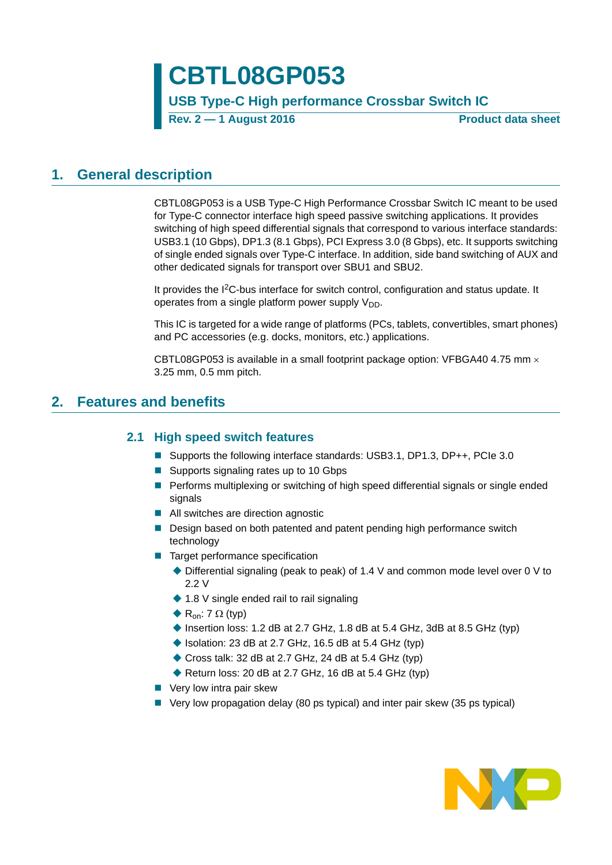# **CBTL08GP053**

### **USB Type-C High performance Crossbar Switch IC**

**Rev. 2 — 1 August 2016 Product data sheet**

### <span id="page-0-0"></span>**1. General description**

CBTL08GP053 is a USB Type-C High Performance Crossbar Switch IC meant to be used for Type-C connector interface high speed passive switching applications. It provides switching of high speed differential signals that correspond to various interface standards: USB3.1 (10 Gbps), DP1.3 (8.1 Gbps), PCI Express 3.0 (8 Gbps), etc. It supports switching of single ended signals over Type-C interface. In addition, side band switching of AUX and other dedicated signals for transport over SBU1 and SBU2.

It provides the I2C-bus interface for switch control, configuration and status update. It operates from a single platform power supply  $V_{DD}$ .

This IC is targeted for a wide range of platforms (PCs, tablets, convertibles, smart phones) and PC accessories (e.g. docks, monitors, etc.) applications.

CBTL08GP053 is available in a small footprint package option: VFBGA40 4.75 mm  $\times$ 3.25 mm, 0.5 mm pitch.

### <span id="page-0-2"></span><span id="page-0-1"></span>**2. Features and benefits**

### **2.1 High speed switch features**

- Supports the following interface standards: USB3.1, DP1.3, DP++, PCIe 3.0
- Supports signaling rates up to 10 Gbps
- **Performs multiplexing or switching of high speed differential signals or single ended** signals
- All switches are direction agnostic
- Design based on both patented and patent pending high performance switch technology
- Target performance specification
	- Differential signaling (peak to peak) of 1.4 V and common mode level over 0 V to 2.2 V
	- ◆ 1.8 V single ended rail to rail signaling
	- $\blacklozenge$  R<sub>on</sub>: 7  $\Omega$  (typ)
	- Insertion loss: 1.2 dB at 2.7 GHz, 1.8 dB at 5.4 GHz, 3dB at 8.5 GHz (typ)
	- $\blacklozenge$  Isolation: 23 dB at 2.7 GHz, 16.5 dB at 5.4 GHz (typ)
	- ◆ Cross talk: 32 dB at 2.7 GHz, 24 dB at 5.4 GHz (typ)
	- Return loss: 20 dB at 2.7 GHz, 16 dB at 5.4 GHz (typ)
- Very low intra pair skew
- Very low propagation delay (80 ps typical) and inter pair skew (35 ps typical)

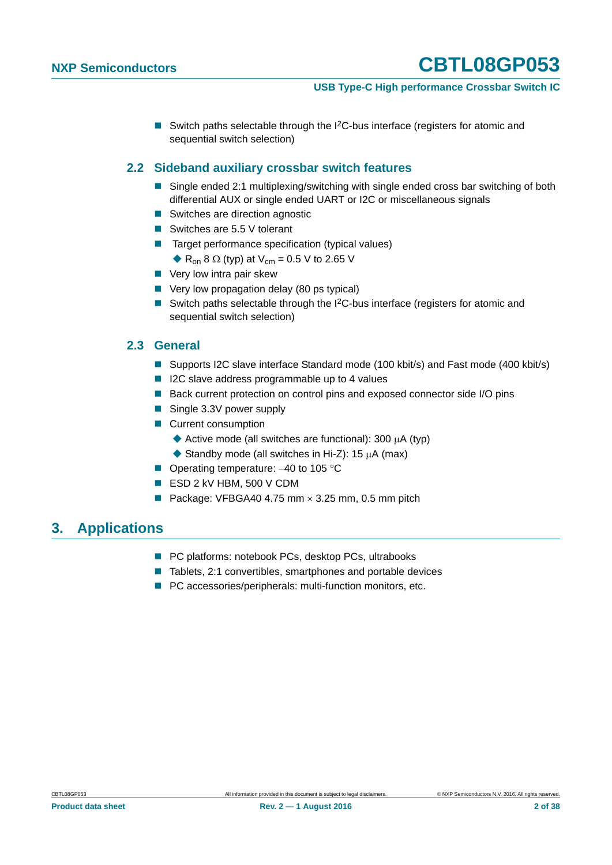#### **USB Type-C High performance Crossbar Switch IC**

Switch paths selectable through the  $1^2C$ -bus interface (registers for atomic and sequential switch selection)

#### <span id="page-1-0"></span>**2.2 Sideband auxiliary crossbar switch features**

- Single ended 2:1 multiplexing/switching with single ended cross bar switching of both differential AUX or single ended UART or I2C or miscellaneous signals
- Switches are direction agnostic
- Switches are 5.5 V tolerant
- Target performance specification (typical values)
	- $\triangle$  R<sub>on</sub> 8  $\Omega$  (typ) at V<sub>cm</sub> = 0.5 V to 2.65 V
- **Very low intra pair skew**
- Very low propagation delay (80 ps typical)
- Switch paths selectable through the  $I^2C$ -bus interface (registers for atomic and sequential switch selection)

#### <span id="page-1-1"></span>**2.3 General**

- Supports I2C slave interface Standard mode (100 kbit/s) and Fast mode (400 kbit/s)
- I2C slave address programmable up to 4 values
- Back current protection on control pins and exposed connector side I/O pins
- Single 3.3V power supply
- **Current consumption** 
	- Active mode (all switches are functional): 300  $\mu$ A (typ)
	- Standby mode (all switches in Hi-Z): 15  $\mu$ A (max)
- Operating temperature:  $-40$  to 105 °C
- ESD 2 kV HBM, 500 V CDM
- Package: VFBGA40 4.75 mm  $\times$  3.25 mm, 0.5 mm pitch

### <span id="page-1-2"></span>**3. Applications**

- PC platforms: notebook PCs, desktop PCs, ultrabooks
- Tablets, 2:1 convertibles, smartphones and portable devices
- **PC** accessories/peripherals: multi-function monitors, etc.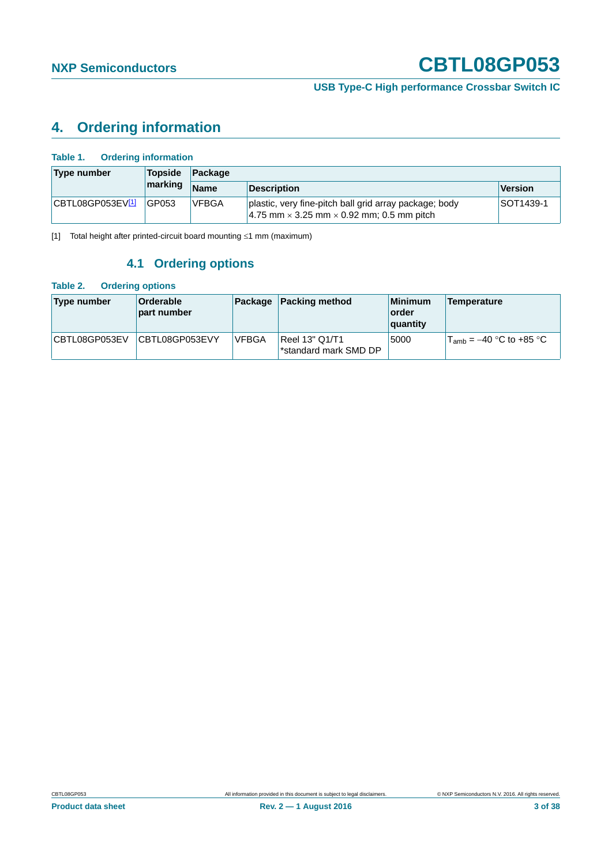**USB Type-C High performance Crossbar Switch IC**

### <span id="page-2-2"></span>**4. Ordering information**

| Type number      | <b>Topside</b> | Package      |                                                                                                                      |                |  |  |  |
|------------------|----------------|--------------|----------------------------------------------------------------------------------------------------------------------|----------------|--|--|--|
|                  | marking        | <b>Name</b>  | <b>Description</b>                                                                                                   | <b>Version</b> |  |  |  |
| CBTL08GP053EV[1] | GP053          | <b>VFBGA</b> | plastic, very fine-pitch ball grid array package; body<br>$ 4.75$ mm $\times$ 3.25 mm $\times$ 0.92 mm; 0.5 mm pitch | SOT1439-1      |  |  |  |

<span id="page-2-3"></span><span id="page-2-0"></span>[1] Total height after printed-circuit board mounting  $\leq 1$  mm (maximum)

### **4.1 Ordering options**

#### <span id="page-2-1"></span>**Table 2. Ordering options**

| Type number   | <b>Orderable</b><br>part number | Package      | <b>Packing method</b>                   | <b>Minimum</b><br>∣order<br>quantity | <b>Temperature</b>                  |
|---------------|---------------------------------|--------------|-----------------------------------------|--------------------------------------|-------------------------------------|
| CBTL08GP053EV | CBTL08GP053EVY                  | <b>VFBGA</b> | Reel 13" Q1/T1<br>*standard mark SMD DP | 5000                                 | $T_{\text{amb}}$ = –40 °C to +85 °C |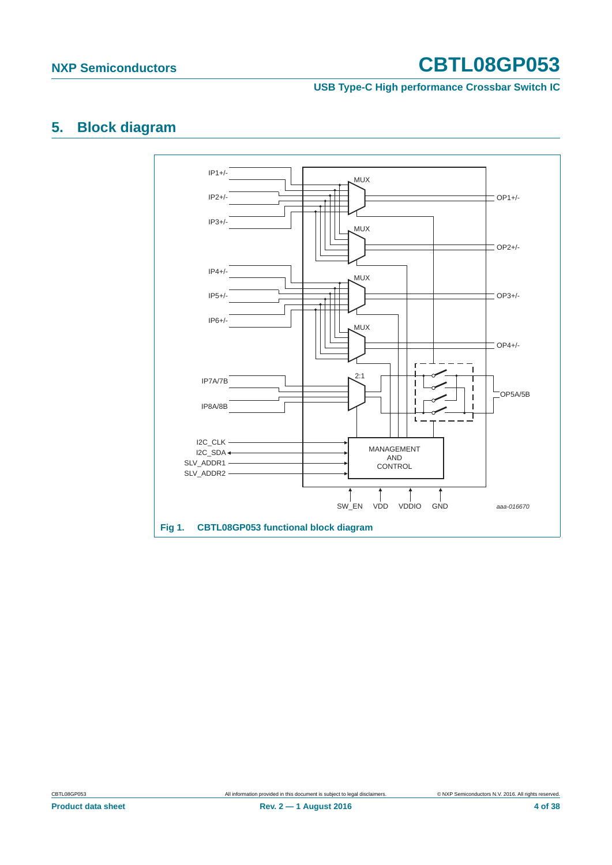**USB Type-C High performance Crossbar Switch IC**

## <span id="page-3-0"></span>**5. Block diagram**

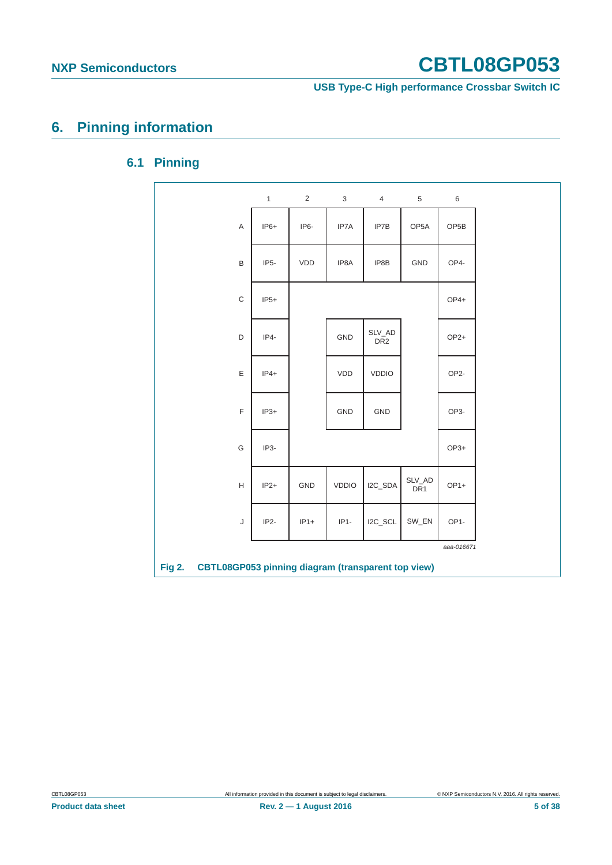**USB Type-C High performance Crossbar Switch IC**

# <span id="page-4-1"></span><span id="page-4-0"></span>**6. Pinning information**

### **6.1 Pinning**

|                                                                            | $\mathbf{1}$      | $\overline{2}$ | 3            | $\overline{4}$            | 5                         | $\,6\,$           |  |
|----------------------------------------------------------------------------|-------------------|----------------|--------------|---------------------------|---------------------------|-------------------|--|
| Α                                                                          | $IP6+$            | IP6-           | IP7A         | IP7B                      | OP <sub>5</sub> A         | OP <sub>5</sub> B |  |
| B                                                                          | IP <sub>5</sub> - | VDD            | IP8A         | IP8B                      | <b>GND</b>                | OP4-              |  |
| C                                                                          | $IP5+$            |                |              |                           |                           | OP4+              |  |
| D                                                                          | $IP4-$            |                | GND          | SLV_AD<br>DR <sub>2</sub> |                           | $OP2+$            |  |
| E                                                                          | $IP4+$            |                | VDD          | <b>VDDIO</b>              |                           | OP <sub>2</sub> - |  |
| $\mathsf F$                                                                | $IP3+$            |                | <b>GND</b>   | GND                       |                           | OP3-              |  |
| G                                                                          | IP3-              |                |              |                           |                           | $OP3+$            |  |
| H                                                                          | $IP2+$            | GND            | <b>VDDIO</b> | I2C_SDA                   | SLV_AD<br>DR <sub>1</sub> | $OP1+$            |  |
| J                                                                          | IP <sub>2</sub> - | $IP1+$         | $IP1-$       | $IZC_SCL$                 | SW_EN                     | OP1-              |  |
|                                                                            |                   |                |              |                           |                           | aaa-016671        |  |
| <b>CBTL08GP053 pinning diagram (transparent top view)</b><br><b>Fig 2.</b> |                   |                |              |                           |                           |                   |  |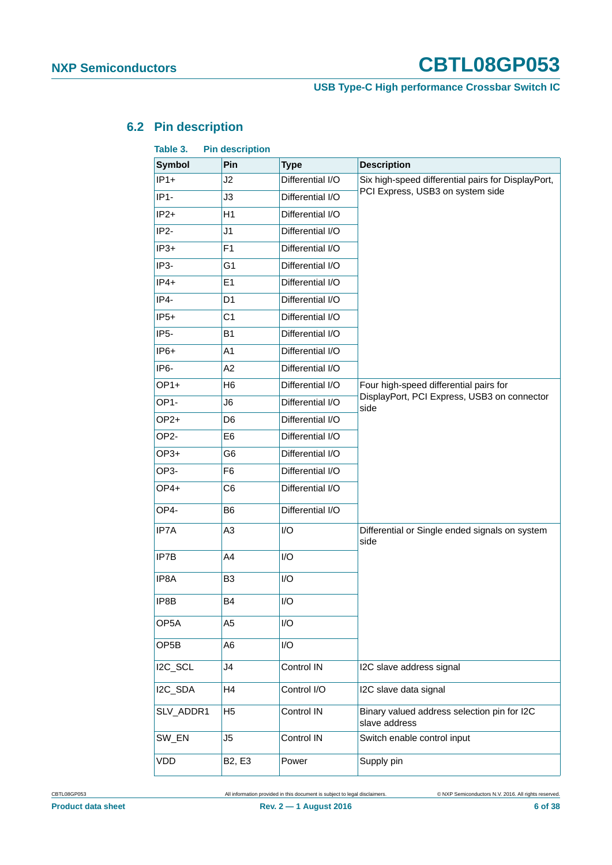### **USB Type-C High performance Crossbar Switch IC**

### <span id="page-5-1"></span>**6.2 Pin description**

<span id="page-5-0"></span>

| Table 3.          | <b>Pin description</b>          |                  |                                                              |  |  |
|-------------------|---------------------------------|------------------|--------------------------------------------------------------|--|--|
| <b>Symbol</b>     | Pin                             | <b>Type</b>      | <b>Description</b>                                           |  |  |
| $IP1+$            | J2                              | Differential I/O | Six high-speed differential pairs for DisplayPort,           |  |  |
| $IP1-$            | J3                              | Differential I/O | PCI Express, USB3 on system side                             |  |  |
| $IP2+$            | H1                              | Differential I/O |                                                              |  |  |
| IP <sub>2</sub> - | J1                              | Differential I/O |                                                              |  |  |
| $IP3+$            | F <sub>1</sub>                  | Differential I/O |                                                              |  |  |
| IP <sub>3</sub> - | G <sub>1</sub>                  | Differential I/O |                                                              |  |  |
| $IP4+$            | E1                              | Differential I/O |                                                              |  |  |
| $IP4-$            | D <sub>1</sub>                  | Differential I/O |                                                              |  |  |
| $IP5+$            | C <sub>1</sub>                  | Differential I/O |                                                              |  |  |
| IP <sub>5</sub> - | <b>B1</b>                       | Differential I/O |                                                              |  |  |
| $IP6+$            | A1                              | Differential I/O |                                                              |  |  |
| IP <sub>6</sub> - | A2                              | Differential I/O |                                                              |  |  |
| $OP1+$            | H <sub>6</sub>                  | Differential I/O | Four high-speed differential pairs for                       |  |  |
| OP <sub>1</sub> - | J6                              | Differential I/O | DisplayPort, PCI Express, USB3 on connector<br>side          |  |  |
| $OP2+$            | D <sub>6</sub>                  | Differential I/O |                                                              |  |  |
| OP <sub>2</sub> - | E <sub>6</sub>                  | Differential I/O |                                                              |  |  |
| OP3+              | G <sub>6</sub>                  | Differential I/O |                                                              |  |  |
| OP3-              | F <sub>6</sub>                  | Differential I/O |                                                              |  |  |
| OP4+              | C <sub>6</sub>                  | Differential I/O |                                                              |  |  |
| OP4-              | B <sub>6</sub>                  | Differential I/O |                                                              |  |  |
| IP7A              | A <sub>3</sub>                  | I/O              | Differential or Single ended signals on system<br>side       |  |  |
| IP7B              | A4                              | I/O              |                                                              |  |  |
| IP8A              | B <sub>3</sub>                  | I/O              |                                                              |  |  |
| IP8B              | B4                              | I/O              |                                                              |  |  |
| OP <sub>5</sub> A | A <sub>5</sub>                  | I/O              |                                                              |  |  |
| OP <sub>5</sub> B | A6                              | I/O              |                                                              |  |  |
| I2C_SCL           | J4                              | Control IN       | I2C slave address signal                                     |  |  |
| I2C_SDA           | H4                              | Control I/O      | I2C slave data signal                                        |  |  |
| SLV_ADDR1         | H <sub>5</sub>                  | Control IN       | Binary valued address selection pin for I2C<br>slave address |  |  |
| SW_EN             | J5                              | Control IN       | Switch enable control input                                  |  |  |
| <b>VDD</b>        | B <sub>2</sub> , E <sub>3</sub> | Power            | Supply pin                                                   |  |  |

CBTL08GP053 All information provided in this document is subject to legal disclaimers. © NXP Semiconductors N.V. 2016. All rights reserved.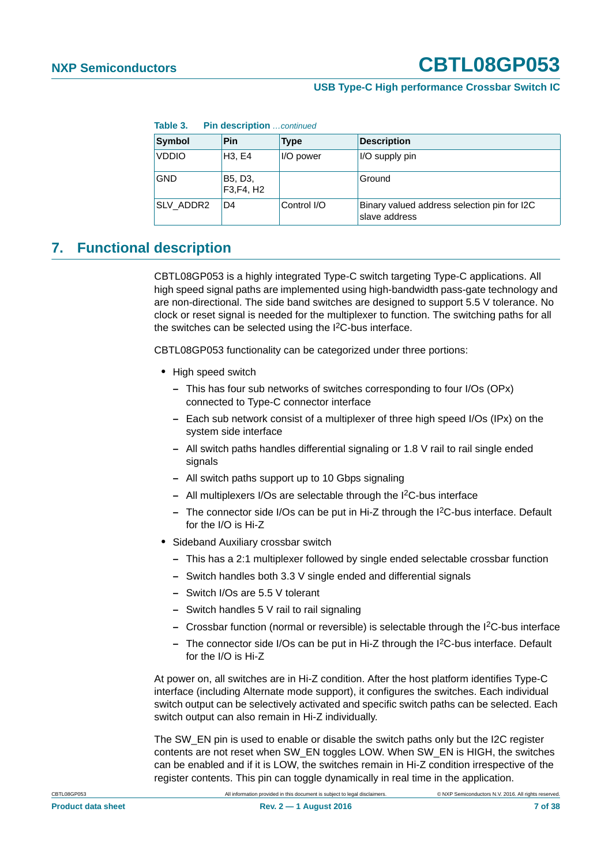#### **USB Type-C High performance Crossbar Switch IC**

| Table 3.<br><b>Pin description</b> continued |                       |             |                                                              |  |  |  |  |  |  |
|----------------------------------------------|-----------------------|-------------|--------------------------------------------------------------|--|--|--|--|--|--|
| Symbol                                       | Pin                   | <b>Type</b> | <b>Description</b>                                           |  |  |  |  |  |  |
| <b>VDDIO</b>                                 | H3. E4                | I/O power   | I/O supply pin                                               |  |  |  |  |  |  |
| <b>GND</b>                                   | B5, D3,<br>F3, F4, H2 |             | Ground                                                       |  |  |  |  |  |  |
| SLV ADDR2                                    | D4                    | Control I/O | Binary valued address selection pin for I2C<br>slave address |  |  |  |  |  |  |

### <span id="page-6-0"></span>**7. Functional description**

CBTL08GP053 is a highly integrated Type-C switch targeting Type-C applications. All high speed signal paths are implemented using high-bandwidth pass-gate technology and are non-directional. The side band switches are designed to support 5.5 V tolerance. No clock or reset signal is needed for the multiplexer to function. The switching paths for all the switches can be selected using the I<sup>2</sup>C-bus interface.

CBTL08GP053 functionality can be categorized under three portions:

- **•** High speed switch
	- **–** This has four sub networks of switches corresponding to four I/Os (OPx) connected to Type-C connector interface
	- **–** Each sub network consist of a multiplexer of three high speed I/Os (IPx) on the system side interface
	- **–** All switch paths handles differential signaling or 1.8 V rail to rail single ended signals
	- **–** All switch paths support up to 10 Gbps signaling
	- **–** All multiplexers I/Os are selectable through the I2C-bus interface
	- **–** The connector side I/Os can be put in Hi-Z through the I2C-bus interface. Default for the I/O is Hi-Z
- **•** Sideband Auxiliary crossbar switch
	- **–** This has a 2:1 multiplexer followed by single ended selectable crossbar function
	- **–** Switch handles both 3.3 V single ended and differential signals
	- **–** Switch I/Os are 5.5 V tolerant
	- **–** Switch handles 5 V rail to rail signaling
	- **–** Crossbar function (normal or reversible) is selectable through the I2C-bus interface
	- **–** The connector side I/Os can be put in Hi-Z through the I2C-bus interface. Default for the I/O is Hi-Z

At power on, all switches are in Hi-Z condition. After the host platform identifies Type-C interface (including Alternate mode support), it configures the switches. Each individual switch output can be selectively activated and specific switch paths can be selected. Each switch output can also remain in Hi-Z individually.

The SW\_EN pin is used to enable or disable the switch paths only but the I2C register contents are not reset when SW\_EN toggles LOW. When SW\_EN is HIGH, the switches can be enabled and if it is LOW, the switches remain in Hi-Z condition irrespective of the register contents. This pin can toggle dynamically in real time in the application.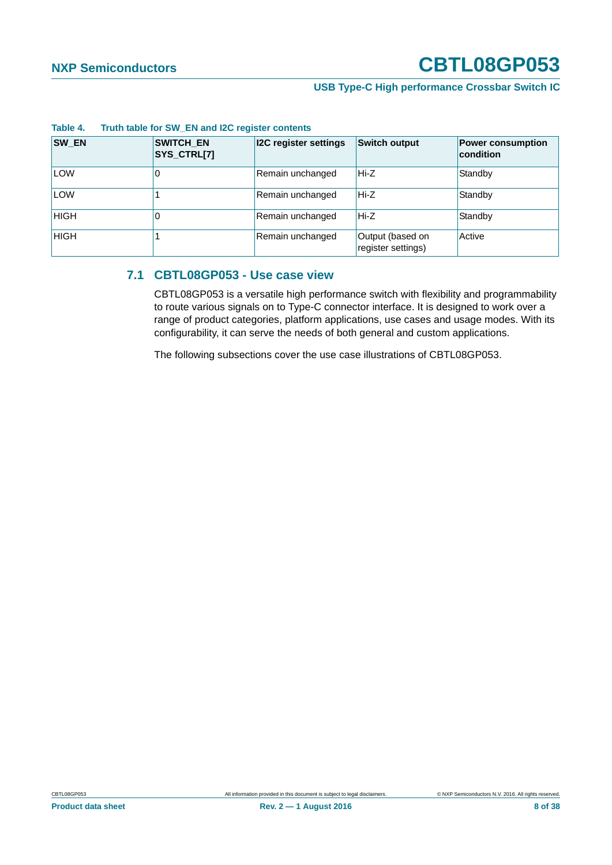#### **USB Type-C High performance Crossbar Switch IC**

| SW_EN       | <b>SWITCH_EN</b><br>SYS_CTRL[7] | <b>I2C register settings</b> | <b>Switch output</b>                   | <b>Power consumption</b><br>condition |
|-------------|---------------------------------|------------------------------|----------------------------------------|---------------------------------------|
| <b>LOW</b>  | U                               | Remain unchanged             | Hi-Z                                   | Standby                               |
| <b>LOW</b>  |                                 | Remain unchanged             | Hi-Z                                   | Standby                               |
| <b>HIGH</b> |                                 | Remain unchanged             | Hi-Z                                   | Standby                               |
| <b>HIGH</b> |                                 | Remain unchanged             | Output (based on<br>register settings) | Active                                |

#### **Table 4. Truth table for SW\_EN and I2C register contents**

#### <span id="page-7-0"></span>**7.1 CBTL08GP053 - Use case view**

CBTL08GP053 is a versatile high performance switch with flexibility and programmability to route various signals on to Type-C connector interface. It is designed to work over a range of product categories, platform applications, use cases and usage modes. With its configurability, it can serve the needs of both general and custom applications.

The following subsections cover the use case illustrations of CBTL08GP053.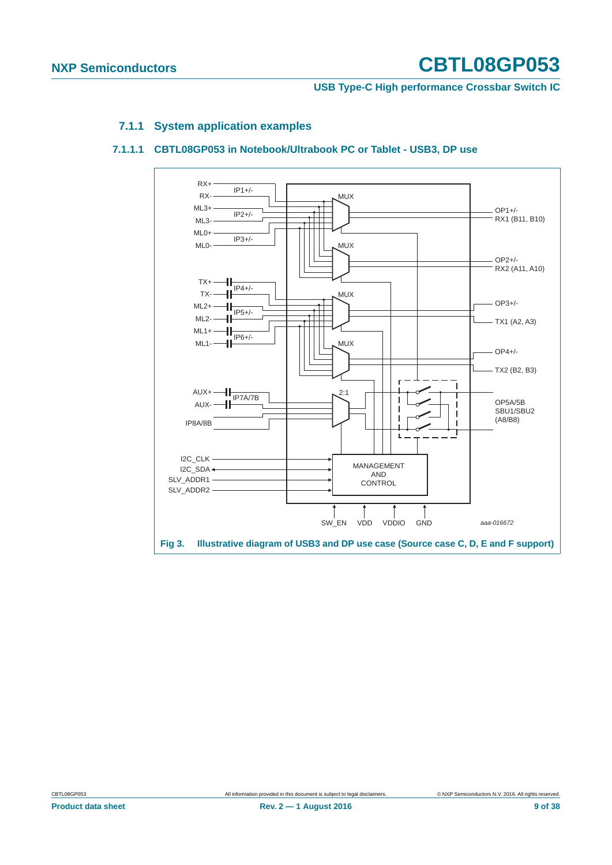#### **USB Type-C High performance Crossbar Switch IC**

#### **7.1.1 System application examples**

#### <span id="page-8-1"></span><span id="page-8-0"></span>**7.1.1.1 CBTL08GP053 in Notebook/Ultrabook PC or Tablet - USB3, DP use**

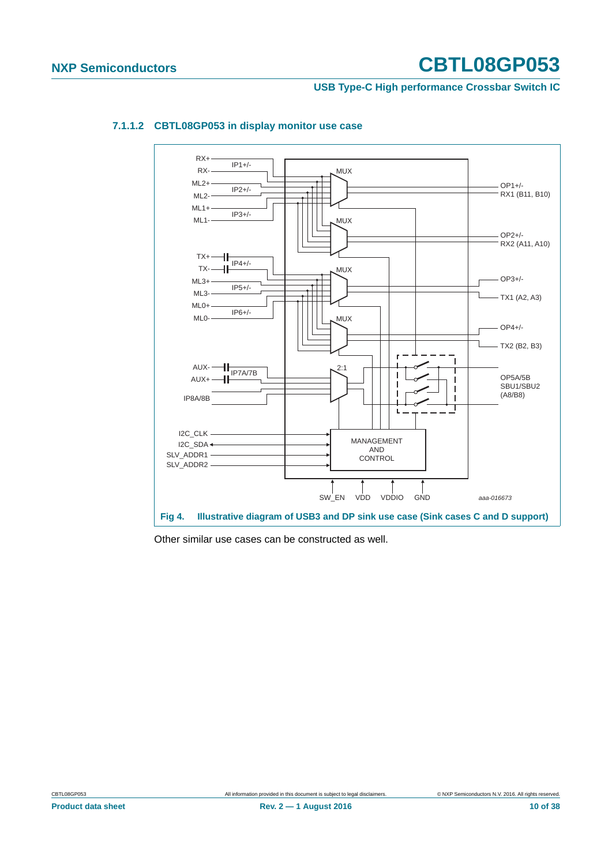#### **USB Type-C High performance Crossbar Switch IC**



#### <span id="page-9-0"></span>**7.1.1.2 CBTL08GP053 in display monitor use case**

Other similar use cases can be constructed as well.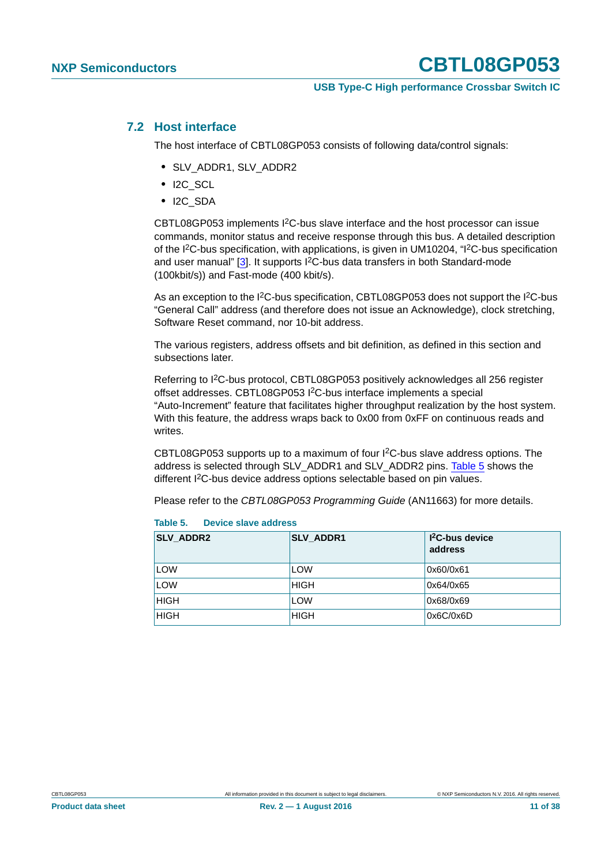#### **USB Type-C High performance Crossbar Switch IC**

#### <span id="page-10-1"></span>**7.2 Host interface**

The host interface of CBTL08GP053 consists of following data/control signals:

- **•** SLV\_ADDR1, SLV\_ADDR2
- **•** I2C\_SCL
- **•** I2C\_SDA

CBTL08GP053 implements I2C-bus slave interface and the host processor can issue commands, monitor status and receive response through this bus. A detailed description of the I2C-bus specification, with applications, is given in UM10204, "I2C-bus specification and user manual" [\[3\]](#page-33-0). It supports I<sup>2</sup>C-bus data transfers in both Standard-mode (100kbit/s)) and Fast-mode (400 kbit/s).

As an exception to the I<sup>2</sup>C-bus specification, CBTL08GP053 does not support the I<sup>2</sup>C-bus "General Call" address (and therefore does not issue an Acknowledge), clock stretching, Software Reset command, nor 10-bit address.

The various registers, address offsets and bit definition, as defined in this section and subsections later.

Referring to I2C-bus protocol, CBTL08GP053 positively acknowledges all 256 register offset addresses. CBTL08GP053 I2C-bus interface implements a special "Auto-Increment" feature that facilitates higher throughput realization by the host system. With this feature, the address wraps back to 0x00 from 0xFF on continuous reads and writes.

CBTL08GP053 supports up to a maximum of four I2C-bus slave address options. The address is selected through SLV\_ADDR1 and SLV\_ADDR2 pins. [Table 5](#page-10-0) shows the different I2C-bus device address options selectable based on pin values.

Please refer to the *CBTL08GP053 Programming Guide* (AN11663) for more details.

| <b>SLV ADDR2</b> | <b>SLV_ADDR1</b> | $I2C$ -bus device<br>address |
|------------------|------------------|------------------------------|
| LOW              | <b>LOW</b>       | 0x60/0x61                    |
| LOW              | <b>HIGH</b>      | 0x64/0x65                    |
| <b>HIGH</b>      | <b>LOW</b>       | 0x68/0x69                    |
| <b>HIGH</b>      | <b>HIGH</b>      | 0x6C/0x6D                    |

<span id="page-10-0"></span>**Table 5. Device slave address**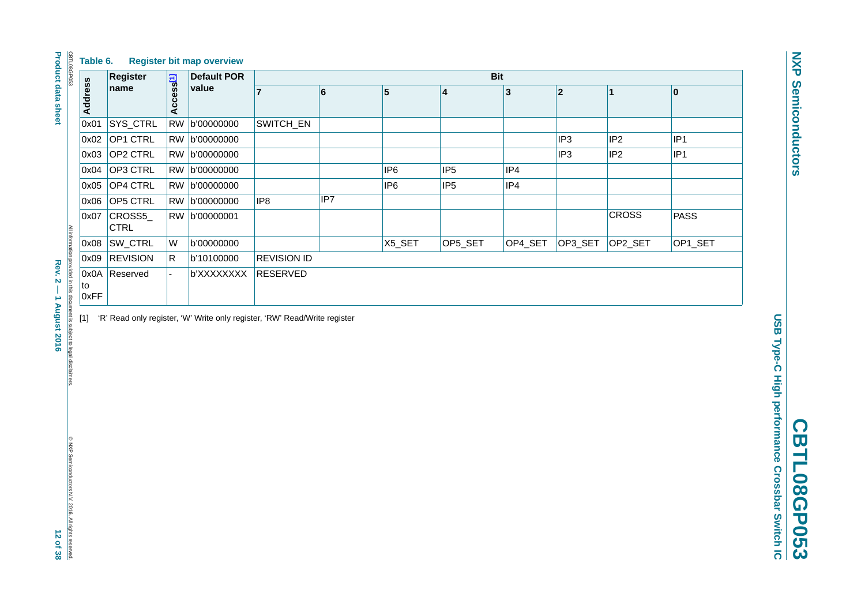| CBTL08GP053<br>Table 6.                                                            |                       |                       | <b>Register bit map overview</b>                                          |                    |                 |                 |                 |         |                 |                 |                  |
|------------------------------------------------------------------------------------|-----------------------|-----------------------|---------------------------------------------------------------------------|--------------------|-----------------|-----------------|-----------------|---------|-----------------|-----------------|------------------|
|                                                                                    | <b>Register</b>       |                       | <b>Bit</b><br><b>Default POR</b>                                          |                    |                 |                 |                 |         |                 |                 |                  |
| <b>Address</b>                                                                     | name                  | Access <sup>[1]</sup> | value                                                                     | $\overline{7}$     | $6\phantom{a}6$ | 5               | 4               | 3       | 2               | $\mathbf{1}$    | $\boldsymbol{0}$ |
| 0x01                                                                               | SYS_CTRL              | <b>RW</b>             | b'00000000                                                                | SWITCH_EN          |                 |                 |                 |         |                 |                 |                  |
| 0x02                                                                               | OP1 CTRL              |                       | RW b'00000000                                                             |                    |                 |                 |                 |         | IP <sub>3</sub> | IP <sub>2</sub> | IP <sub>1</sub>  |
| 0x03                                                                               | OP2 CTRL              |                       | RW b'00000000                                                             |                    |                 |                 |                 |         | IP <sub>3</sub> | IP <sub>2</sub> | IP <sub>1</sub>  |
| 0x04                                                                               | OP3 CTRL              |                       | RW b'00000000                                                             |                    |                 | IP <sub>6</sub> | IP <sub>5</sub> | IP4     |                 |                 |                  |
| 0x05                                                                               | OP4 CTRL              |                       | RW b'00000000                                                             |                    |                 | IP <sub>6</sub> | IP <sub>5</sub> | IP4     |                 |                 |                  |
| 0x06                                                                               | OP5 CTRL              |                       | RW b'00000000                                                             | IP <sub>8</sub>    | IP7             |                 |                 |         |                 |                 |                  |
| 0x07                                                                               | CROSS5<br><b>CTRL</b> |                       | RW b'00000001                                                             |                    |                 |                 |                 |         |                 | <b>CROSS</b>    | <b>PASS</b>      |
| 0x08                                                                               | SW_CTRL               | W                     | b'00000000                                                                |                    |                 | X5_SET          | OP5_SET         | OP4_SET | OP3_SET         | OP2_SET         | OP1_SET          |
| 0x09                                                                               | <b>REVISION</b>       | R.                    | b'10100000                                                                | <b>REVISION ID</b> |                 |                 |                 |         |                 |                 |                  |
| 0x0A<br>to<br>0xFF                                                                 | Reserved              |                       | b'XXXXXXXX                                                                | <b>RESERVED</b>    |                 |                 |                 |         |                 |                 |                  |
| All information provided in this document is subject to legal disclaimers<br>$[1]$ |                       |                       | 'R' Read only register, 'W' Write only register, 'RW' Read/Write register |                    |                 |                 |                 |         |                 |                 |                  |

<span id="page-11-0"></span>**USB Type-C High performance Crossbar Switch IC** [1] 'R' Read only register, 'W' Write only register, 'RW' Read/Write register

**Product data sheet Product data sheet**

© NXP Semiconductors N.V. 2016. All rights reserved.<br> $12$  Of  $38$ © NXP Semiconductors N.V. 2016. All rights reserved.

**NXP Semiconductors NXP Semiconductors**

**CBTL08GP053** 

**CBTL08GP053**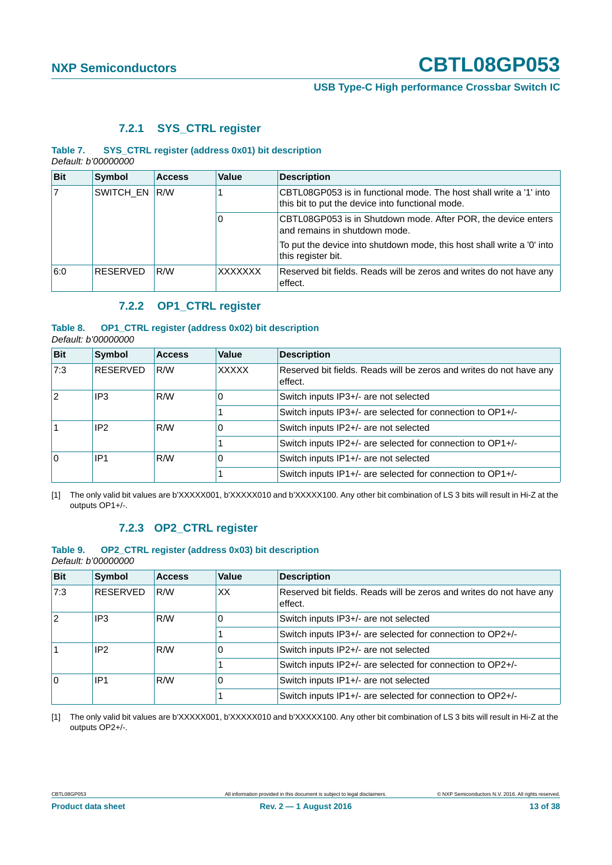#### **USB Type-C High performance Crossbar Switch IC**

#### **7.2.1 SYS\_CTRL register**

#### <span id="page-12-0"></span>**Table 7. SYS\_CTRL register (address 0x01) bit description** *Default: b'00000000*

| <b>Bit</b>     | <b>Symbol</b>   | <b>Access</b> | Value          | <b>Description</b>                                                                                                     |
|----------------|-----------------|---------------|----------------|------------------------------------------------------------------------------------------------------------------------|
| $\overline{7}$ |                 | SWITCH_EN R/W |                | CBTL08GP053 is in functional mode. The host shall write a '1' into<br>this bit to put the device into functional mode. |
|                |                 |               | 0              | CBTL08GP053 is in Shutdown mode. After POR, the device enters<br>and remains in shutdown mode.                         |
|                |                 |               |                | To put the device into shutdown mode, this host shall write a '0' into<br>this register bit.                           |
| 6:0            | <b>RESERVED</b> | R/W           | <b>XXXXXXX</b> | Reserved bit fields. Reads will be zeros and writes do not have any<br>effect.                                         |

#### **7.2.2 OP1\_CTRL register**

#### <span id="page-12-1"></span>**Table 8. OP1\_CTRL register (address 0x02) bit description** *Default: b'00000000*

| <b>Bit</b> | <b>Symbol</b>   | <b>Access</b> | <b>Value</b>                                               | <b>Description</b>                                                             |
|------------|-----------------|---------------|------------------------------------------------------------|--------------------------------------------------------------------------------|
| 7:3        | <b>RESERVED</b> | R/W           | <b>XXXXX</b>                                               | Reserved bit fields. Reads will be zeros and writes do not have any<br>effect. |
| 12         | IP3             | R/W           |                                                            | Switch inputs IP3+/- are not selected                                          |
|            |                 |               | Switch inputs IP3+/- are selected for connection to OP1+/- |                                                                                |
|            | IP <sub>2</sub> | R/W           | 0                                                          | Switch inputs IP2+/- are not selected                                          |
|            |                 |               |                                                            | Switch inputs IP2+/- are selected for connection to OP1+/-                     |
| ١o         | IP1             | R/W           | 0                                                          | Switch inputs IP1+/- are not selected                                          |
|            |                 |               |                                                            | Switch inputs IP1+/- are selected for connection to OP1+/-                     |

[1] The only valid bit values are b'XXXXX001, b'XXXXX010 and b'XXXXX100. Any other bit combination of LS 3 bits will result in Hi-Z at the outputs OP1+/-.

#### **7.2.3 OP2\_CTRL register**

<span id="page-12-2"></span>

| Table 9.            |  |  |  | OP2_CTRL register (address 0x03) bit description |  |
|---------------------|--|--|--|--------------------------------------------------|--|
| Default: b'00000000 |  |  |  |                                                  |  |

| <b>Bit</b> | <b>Symbol</b>          | <b>Access</b> | Value                                                      | <b>Description</b>                                                             |
|------------|------------------------|---------------|------------------------------------------------------------|--------------------------------------------------------------------------------|
| 7:3        | RESERVED               | R/W           | XX                                                         | Reserved bit fields. Reads will be zeros and writes do not have any<br>effect. |
| 12         | IP <sub>3</sub>        | R/W           | O.                                                         | Switch inputs IP3+/- are not selected                                          |
|            |                        |               | Switch inputs IP3+/- are selected for connection to OP2+/- |                                                                                |
|            | IP <sub>2</sub>        | R/W           |                                                            | Switch inputs IP2+/- are not selected                                          |
|            |                        |               |                                                            | Switch inputs IP2+/- are selected for connection to OP2+/-                     |
| ١o         | IP <sub>1</sub><br>R/W |               |                                                            | Switch inputs IP1+/- are not selected                                          |
|            |                        |               |                                                            | Switch inputs IP1+/- are selected for connection to OP2+/-                     |

[1] The only valid bit values are b'XXXXX001, b'XXXXX010 and b'XXXXX100. Any other bit combination of LS 3 bits will result in Hi-Z at the outputs OP2+/-.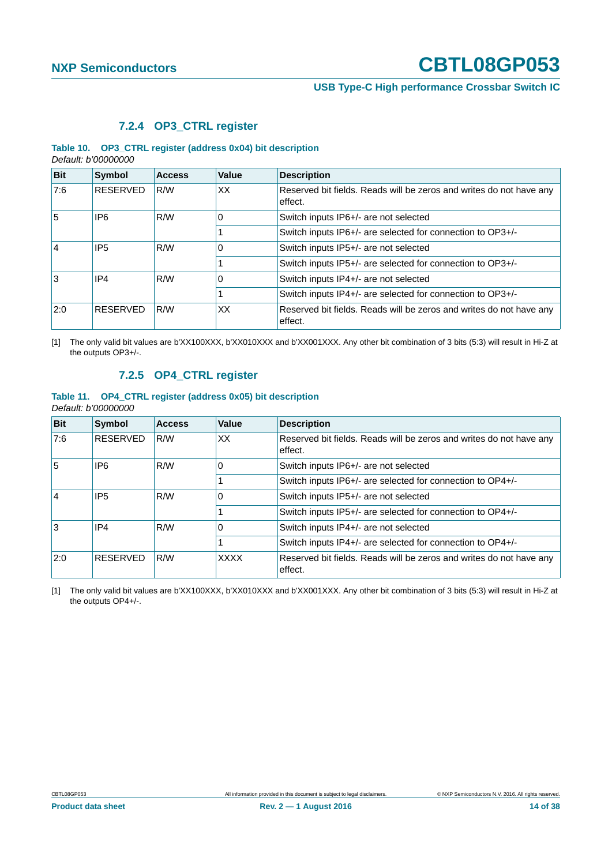**USB Type-C High performance Crossbar Switch IC**

#### **7.2.4 OP3\_CTRL register**

#### <span id="page-13-0"></span>**Table 10. OP3\_CTRL register (address 0x04) bit description** *Default: b'00000000*

| <b>Bit</b>   | <b>Symbol</b>   | <b>Access</b> | Value | <b>Description</b>                                                             |
|--------------|-----------------|---------------|-------|--------------------------------------------------------------------------------|
| 7:6          | <b>RESERVED</b> | R/W           | XX    | Reserved bit fields. Reads will be zeros and writes do not have any<br>effect. |
| 5            | IP6             | R/W           | 0     | Switch inputs IP6+/- are not selected                                          |
|              |                 |               |       | Switch inputs IP6+/- are selected for connection to OP3+/-                     |
| <sup>4</sup> | IP <sub>5</sub> | R/W           | 0     | Switch inputs IP5+/- are not selected                                          |
|              |                 |               |       | Switch inputs IP5+/- are selected for connection to OP3+/-                     |
| Ι3           | IP4             | R/W           | 0     | Switch inputs IP4+/- are not selected                                          |
|              |                 |               |       | Switch inputs IP4+/- are selected for connection to OP3+/-                     |
| 2:0          | <b>RESERVED</b> | R/W           | XX    | Reserved bit fields. Reads will be zeros and writes do not have any<br>effect. |

[1] The only valid bit values are b'XX100XXX, b'XX010XXX and b'XX001XXX. Any other bit combination of 3 bits (5:3) will result in Hi-Z at the outputs OP3+/-.

### **7.2.5 OP4\_CTRL register**

#### <span id="page-13-1"></span>**Table 11. OP4\_CTRL register (address 0x05) bit description** *Default: b'00000000*

| <b>Bit</b>   | <b>Symbol</b>   | <b>Access</b> | Value       | <b>Description</b>                                                             |
|--------------|-----------------|---------------|-------------|--------------------------------------------------------------------------------|
| 7:6          | <b>RESERVED</b> | R/W           | XX          | Reserved bit fields. Reads will be zeros and writes do not have any<br>effect. |
| 5            | IP6             | R/W           | 0           | Switch inputs IP6+/- are not selected                                          |
|              |                 |               |             | Switch inputs IP6+/- are selected for connection to OP4+/-                     |
| <sup>4</sup> | IP <sub>5</sub> | R/W           | 0           | Switch inputs IP5+/- are not selected                                          |
|              |                 |               |             | Switch inputs IP5+/- are selected for connection to OP4+/-                     |
| Ι3           | IP4             | R/W           | 0           | Switch inputs IP4+/- are not selected                                          |
|              |                 |               |             | Switch inputs IP4+/- are selected for connection to OP4+/-                     |
| 2:0          | <b>RESERVED</b> | R/W           | <b>XXXX</b> | Reserved bit fields. Reads will be zeros and writes do not have any<br>effect. |

[1] The only valid bit values are b'XX100XXX, b'XX010XXX and b'XX001XXX. Any other bit combination of 3 bits (5:3) will result in Hi-Z at the outputs OP4+/-.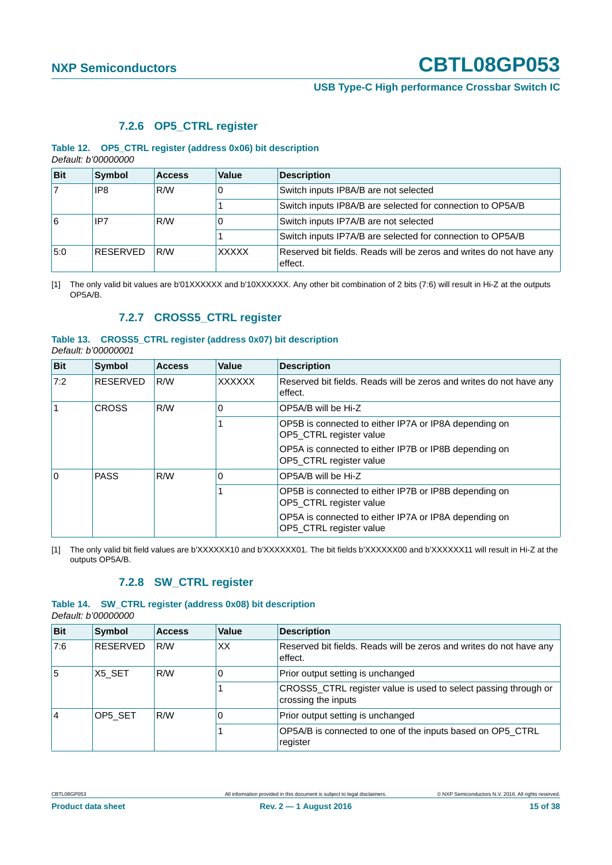#### **USB Type-C High performance Crossbar Switch IC**

#### **7.2.6 OP5\_CTRL register**

#### <span id="page-14-0"></span>**Table 12. OP5\_CTRL register (address 0x06) bit description** *Default: b'00000000*

| <b>Bit</b> | <b>Symbol</b>   | <b>Access</b> | Value        | <b>Description</b>                                                             |
|------------|-----------------|---------------|--------------|--------------------------------------------------------------------------------|
|            | IP8             | R/W           | 0            | Switch inputs IP8A/B are not selected                                          |
|            |                 |               |              | Switch inputs IP8A/B are selected for connection to OP5A/B                     |
| 16         | R/W<br>IP7<br>0 |               |              | Switch inputs IP7A/B are not selected                                          |
|            |                 |               |              | Switch inputs IP7A/B are selected for connection to OP5A/B                     |
| 5:0        | <b>RESERVED</b> | R/W           | <b>XXXXX</b> | Reserved bit fields. Reads will be zeros and writes do not have any<br>effect. |

[1] The only valid bit values are b'01XXXXXX and b'10XXXXXX. Any other bit combination of 2 bits (7:6) will result in Hi-Z at the outputs OP5A/B.

#### **7.2.7 CROSS5\_CTRL register**

#### <span id="page-14-1"></span>**Table 13. CROSS5\_CTRL register (address 0x07) bit description** *Default: b'00000001*

| <b>Bit</b> | Symbol          | <b>Access</b> | Value                                                                            | <b>Description</b>                                                               |
|------------|-----------------|---------------|----------------------------------------------------------------------------------|----------------------------------------------------------------------------------|
| 7:2        | <b>RESERVED</b> | R/W           | <b>XXXXXX</b>                                                                    | Reserved bit fields. Reads will be zeros and writes do not have any<br>effect.   |
|            | <b>CROSS</b>    | R/W           | $\Omega$                                                                         | OP5A/B will be Hi-Z                                                              |
|            |                 |               |                                                                                  | OP5B is connected to either IP7A or IP8A depending on<br>OP5 CTRL register value |
|            |                 |               |                                                                                  | OP5A is connected to either IP7B or IP8B depending on<br>OP5 CTRL register value |
| l O        | <b>PASS</b>     | R/W           | $\Omega$                                                                         | OP5A/B will be Hi-Z                                                              |
|            |                 |               | OP5B is connected to either IP7B or IP8B depending on<br>OP5_CTRL register value |                                                                                  |
|            |                 |               |                                                                                  | OP5A is connected to either IP7A or IP8A depending on<br>OP5 CTRL register value |

[1] The only valid bit field values are b'XXXXXX10 and b'XXXXXX01. The bit fields b'XXXXXX00 and b'XXXXXX11 will result in Hi-Z at the outputs OP5A/B.

#### **7.2.8 SW\_CTRL register**

#### <span id="page-14-2"></span>**Table 14. SW\_CTRL register (address 0x08) bit description**

*Default: b'00000000*

| <b>Bit</b> | <b>Symbol</b>   | <b>Access</b> | Value | <b>Description</b>                                                                     |
|------------|-----------------|---------------|-------|----------------------------------------------------------------------------------------|
| 7:6        | <b>RESERVED</b> | R/W           | XX    | Reserved bit fields. Reads will be zeros and writes do not have any<br>effect.         |
| 5          | X5 SET          | R/W           |       | Prior output setting is unchanged                                                      |
|            |                 |               |       | CROSS5_CTRL register value is used to select passing through or<br>crossing the inputs |
| 14         | OP5 SET         | R/W           |       | Prior output setting is unchanged                                                      |
|            |                 |               |       | OP5A/B is connected to one of the inputs based on OP5 CTRL<br>register                 |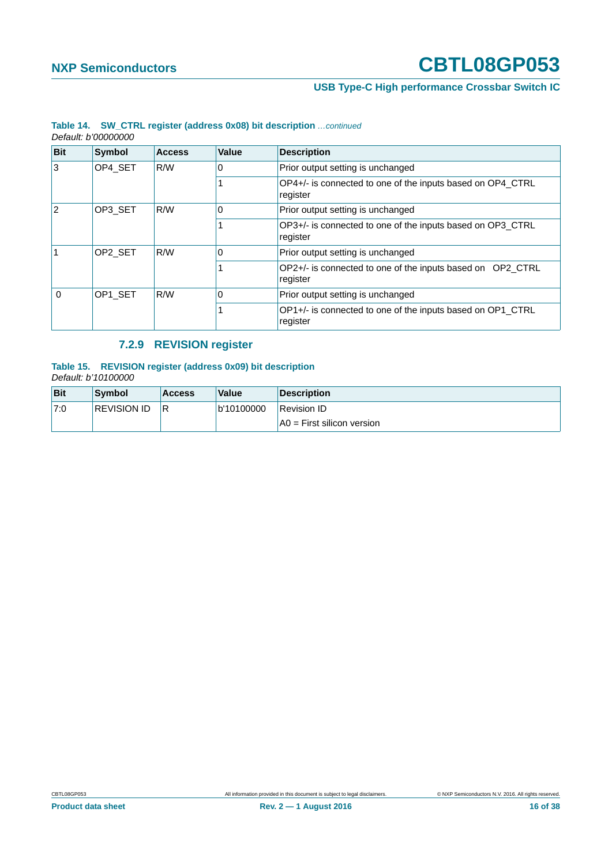### **USB Type-C High performance Crossbar Switch IC**

| <b>Bit</b>     | <b>Symbol</b> | <b>Access</b> | Value    | <b>Description</b>                                                     |
|----------------|---------------|---------------|----------|------------------------------------------------------------------------|
| 3              | OP4 SET       | R/W           | 0        | Prior output setting is unchanged                                      |
|                |               |               |          | OP4+/- is connected to one of the inputs based on OP4 CTRL<br>register |
| $\overline{2}$ | OP3_SET       | R/W<br>0      |          | Prior output setting is unchanged                                      |
|                |               |               |          | OP3+/- is connected to one of the inputs based on OP3 CTRL<br>register |
|                | OP2_SET       | R/W           | 0        | Prior output setting is unchanged                                      |
|                |               |               |          | OP2+/- is connected to one of the inputs based on OP2 CTRL<br>register |
| 0              | OP1_SET       | R/W           | $\Omega$ | Prior output setting is unchanged                                      |
|                |               |               |          | OP1+/- is connected to one of the inputs based on OP1 CTRL<br>register |

#### **Table 14. SW\_CTRL register (address 0x08) bit description** *…continued Default: b'00000000*

### **7.2.9 REVISION register**

#### <span id="page-15-0"></span>**Table 15. REVISION register (address 0x09) bit description** *Default: b'10100000*

| Bit  | Symbol             | <b>Access</b> | Value      | <b>Description</b>           |
|------|--------------------|---------------|------------|------------------------------|
| '7:0 | <b>REVISION ID</b> | IR.           | b'10100000 | Revision ID                  |
|      |                    |               |            | $AO = First silicon version$ |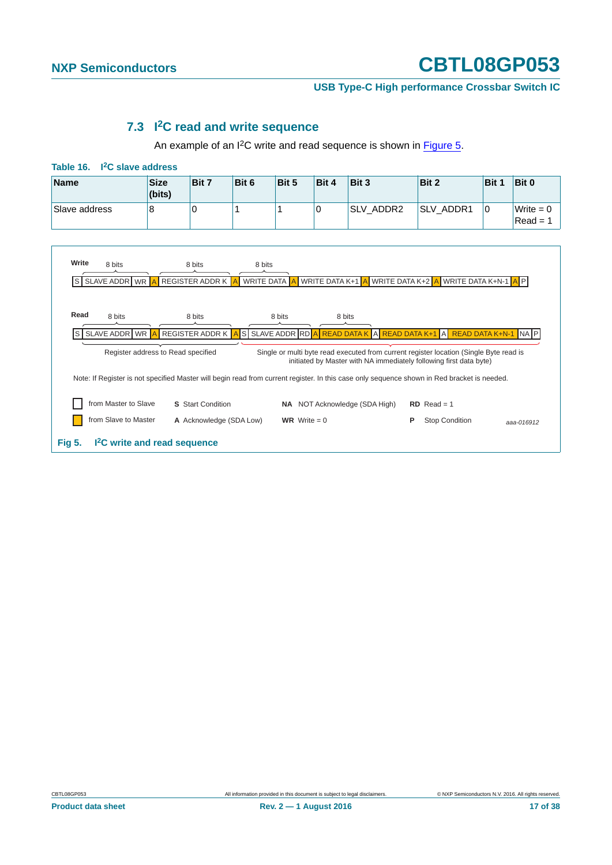**USB Type-C High performance Crossbar Switch IC**

### **7.3 I2C read and write sequence**

An example of an I<sup>2</sup>C write and read sequence is shown in **Figure 5**.

<span id="page-16-1"></span><span id="page-16-0"></span>

| <b>Name</b>          | <b>Size</b><br>(bits)              | Bit 7                    | Bit 6      | Bit 5                         | Bit 4            | Bit 3                                | Bit 2                                                                                                                                                        | Bit 1                  | Bit 0                     |
|----------------------|------------------------------------|--------------------------|------------|-------------------------------|------------------|--------------------------------------|--------------------------------------------------------------------------------------------------------------------------------------------------------------|------------------------|---------------------------|
| Slave address        | 8                                  | $\Omega$                 |            | 1                             | 0                | SLV ADDR2                            | SLV_ADDR1                                                                                                                                                    | $\Omega$               | Write $= 0$<br>$Read = 1$ |
|                      |                                    |                          |            |                               |                  |                                      |                                                                                                                                                              |                        |                           |
| Write<br>8 bits      |                                    | 8 bits                   | 8 bits     |                               |                  |                                      |                                                                                                                                                              |                        |                           |
| SLAVE ADDR WR<br>ls  |                                    | <b>REGISTER ADDR K</b>   | WRITE DATA |                               | WRITE DATA K+1 A |                                      | WRITE DATA K+2 A WRITE DATA K+N-1 A P                                                                                                                        |                        |                           |
|                      |                                    |                          |            |                               |                  |                                      |                                                                                                                                                              |                        |                           |
|                      |                                    |                          |            |                               |                  |                                      |                                                                                                                                                              |                        |                           |
| Read<br>8 bits       |                                    | 8 bits                   |            | 8 bits                        |                  | 8 bits                               |                                                                                                                                                              |                        |                           |
| SLAVE ADDR WR<br>ls  |                                    | REGISTER ADDR K          |            | S SLAVE ADDR RD A READ DATA K |                  | A READ DATA K+1                      | A                                                                                                                                                            | <b>READ DATA K+N-1</b> | <b>INAIP</b>              |
|                      | Register address to Read specified |                          |            |                               |                  |                                      | Single or multi byte read executed from current register location (Single Byte read is<br>initiated by Master with NA immediately following first data byte) |                        |                           |
|                      |                                    |                          |            |                               |                  |                                      | Note: If Register is not specified Master will begin read from current register. In this case only sequence shown in Red bracket is needed.                  |                        |                           |
| from Master to Slave |                                    | <b>S</b> Start Condition |            |                               |                  | <b>NA</b> NOT Acknowledge (SDA High) | $RD$ Read = 1                                                                                                                                                |                        |                           |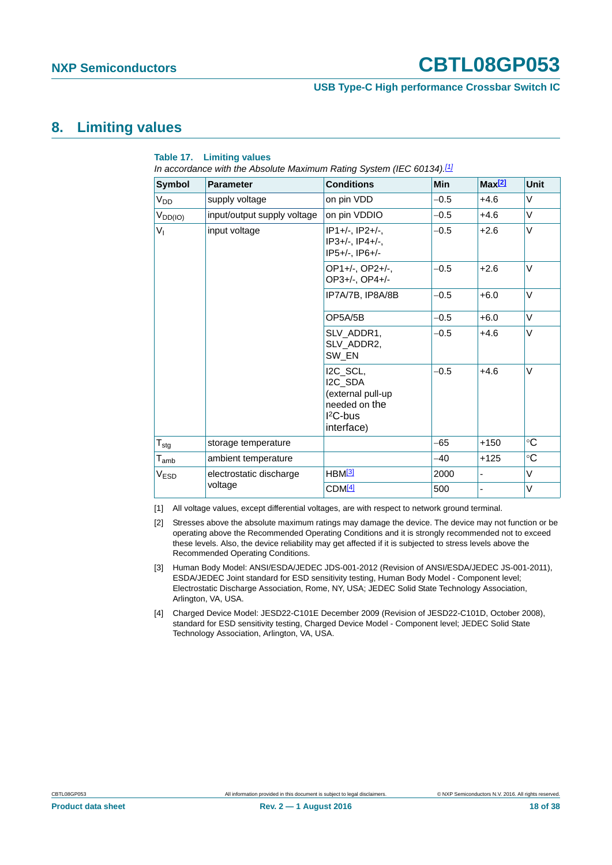#### **USB Type-C High performance Crossbar Switch IC**

### <span id="page-17-4"></span>**8. Limiting values**

| <b>Symbol</b>               | <b>Parameter</b>            | <b>Conditions</b>                                                                               | Min    | Max[2] | <b>Unit</b> |
|-----------------------------|-----------------------------|-------------------------------------------------------------------------------------------------|--------|--------|-------------|
| $V_{DD}$                    | supply voltage              | on pin VDD                                                                                      | $-0.5$ | $+4.6$ | V           |
| $V_{DD(IO)}$                | input/output supply voltage | on pin VDDIO                                                                                    | $-0.5$ | $+4.6$ | V           |
| $V_{I}$                     | input voltage               | IP1+/-. IP2+/-.<br>$IP3+/-.$ $IP4+/-.$<br>IP5+/-, IP6+/-                                        | $-0.5$ | $+2.6$ | $\vee$      |
|                             |                             | OP1+/-, OP2+/-,<br>OP3+/-, OP4+/-                                                               | $-0.5$ | $+2.6$ | $\vee$      |
|                             |                             | IP7A/7B, IP8A/8B                                                                                | $-0.5$ | $+6.0$ | V           |
|                             |                             | OP5A/5B                                                                                         | $-0.5$ | $+6.0$ | $\vee$      |
|                             |                             | SLV ADDR1.<br>SLV_ADDR2,<br>SW EN                                                               | $-0.5$ | $+4.6$ | V           |
|                             |                             | I2C SCL.<br>I2C_SDA<br>(external pull-up<br>needed on the<br>I <sup>2</sup> C-bus<br>interface) | $-0.5$ | $+4.6$ | $\vee$      |
| $T_{\text{stg}}$            | storage temperature         |                                                                                                 | -65    | $+150$ | °C          |
| $\mathsf{T}_{\mathsf{amb}}$ | ambient temperature         |                                                                                                 | $-40$  | $+125$ | $\circ$ C   |
| V <sub>ESD</sub>            | electrostatic discharge     | $HBM^{[3]}$                                                                                     | 2000   |        | $\vee$      |
|                             | voltage                     | CDM <sup>[4]</sup>                                                                              | 500    |        | V           |

#### **Table 17. Limiting values**

*In accordance with the Absolute Maximum Rating System (IEC 60134)[.\[1\]](#page-17-3)*

<span id="page-17-3"></span>[1] All voltage values, except differential voltages, are with respect to network ground terminal.

<span id="page-17-2"></span>[2] Stresses above the absolute maximum ratings may damage the device. The device may not function or be operating above the Recommended Operating Conditions and it is strongly recommended not to exceed these levels. Also, the device reliability may get affected if it is subjected to stress levels above the Recommended Operating Conditions.

- <span id="page-17-0"></span>[3] Human Body Model: ANSI/ESDA/JEDEC JDS-001-2012 (Revision of ANSI/ESDA/JEDEC JS-001-2011), ESDA/JEDEC Joint standard for ESD sensitivity testing, Human Body Model - Component level; Electrostatic Discharge Association, Rome, NY, USA; JEDEC Solid State Technology Association, Arlington, VA, USA.
- <span id="page-17-1"></span>[4] Charged Device Model: JESD22-C101E December 2009 (Revision of JESD22-C101D, October 2008), standard for ESD sensitivity testing, Charged Device Model - Component level; JEDEC Solid State Technology Association, Arlington, VA, USA.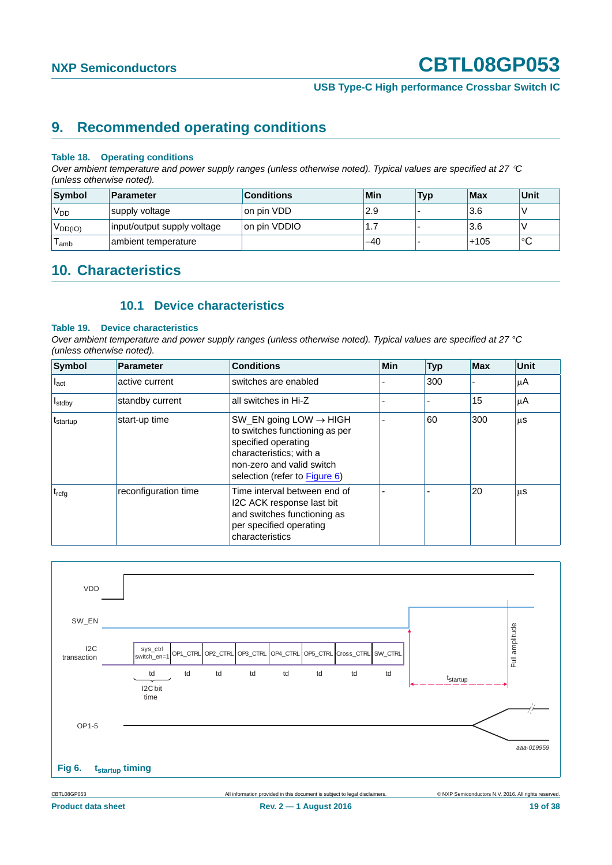**USB Type-C High performance Crossbar Switch IC**

### <span id="page-18-1"></span>**9. Recommended operating conditions**

#### **Table 18. Operating conditions**

*Over ambient temperature and power supply ranges (unless otherwise noted). Typical values are specified at 27 C (unless otherwise noted).*

| Symbol              | Parameter                   | <b>Conditions</b> | Min | <b>Typ</b> | <b>Max</b> | Unit         |
|---------------------|-----------------------------|-------------------|-----|------------|------------|--------------|
| V <sub>DD</sub>     | supply voltage              | on pin VDD        | 2.9 |            | 3.6        |              |
| V <sub>DD(IO)</sub> | input/output supply voltage | Ion pin VDDIO     | .   |            | 3.6        |              |
| amb                 | ambient temperature         |                   | -40 |            | $+105$     | $\circ$<br>◡ |

### <span id="page-18-2"></span>**10. Characteristics**

### **10.1 Device characteristics**

#### <span id="page-18-3"></span>**Table 19. Device characteristics**

*Over ambient temperature and power supply ranges (unless otherwise noted). Typical values are specified at 27 °C (unless otherwise noted).*

| Symbol                 | <b>Parameter</b>     | <b>Conditions</b>                                                                                                                                                                    | Min | <b>Typ</b> | <b>Max</b> | <b>Unit</b> |
|------------------------|----------------------|--------------------------------------------------------------------------------------------------------------------------------------------------------------------------------------|-----|------------|------------|-------------|
| $I_{\text{act}}$       | active current       | switches are enabled                                                                                                                                                                 |     | 300        |            | μA          |
| <b>I</b> stdby         | standby current      | all switches in Hi-Z                                                                                                                                                                 |     |            | 15         | μA          |
| ∣ <sup>t</sup> startup | start-up time        | SW_EN going LOW $\rightarrow$ HIGH<br>to switches functioning as per<br>specified operating<br>characteristics; with a<br>non-zero and valid switch<br>selection (refer to Figure 6) |     | 60         | 300        | μS          |
| $t_{rcfq}$             | reconfiguration time | Time interval between end of<br>I2C ACK response last bit<br>and switches functioning as<br>per specified operating<br>characteristics                                               |     |            | 20         | μS          |



<span id="page-18-0"></span>CBTL08GP053 All information provided in this document is subject to legal disclaimers. © NXP Semiconductors N.V. 2016. All rights reserved.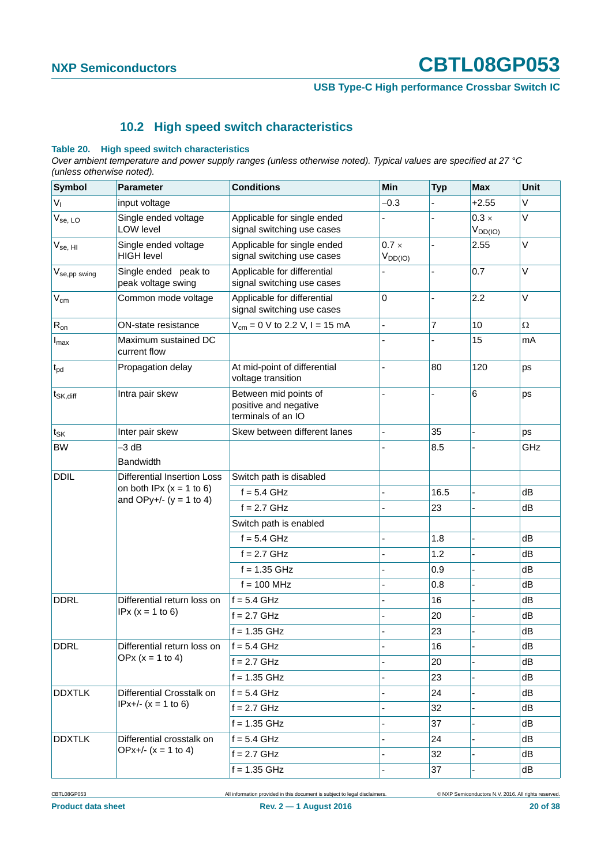**USB Type-C High performance Crossbar Switch IC**

### **10.2 High speed switch characteristics**

#### <span id="page-19-0"></span>**Table 20. High speed switch characteristics**

*Over ambient temperature and power supply ranges (unless otherwise noted). Typical values are specified at 27 °C (unless otherwise noted).*

| <b>Symbol</b>        | <b>Parameter</b>                           | <b>Conditions</b>                                                    | Min                          | <b>Typ</b> | <b>Max</b>                   | <b>Unit</b>  |
|----------------------|--------------------------------------------|----------------------------------------------------------------------|------------------------------|------------|------------------------------|--------------|
| $V_{I}$              | input voltage                              |                                                                      | $-0.3$                       |            | $+2.55$                      | V            |
| $V_{se, LO}$         | Single ended voltage<br>LOW level          | Applicable for single ended<br>signal switching use cases            |                              |            | $0.3 \times$<br>$V_{DD(IO)}$ | $\vee$       |
| $V_{se, HI}$         | Single ended voltage<br><b>HIGH level</b>  | Applicable for single ended<br>signal switching use cases            | $0.7 \times$<br>$V_{DD(IO)}$ |            | 2.55                         | V            |
| $V_{se,pp\, swing}$  | Single ended peak to<br>peak voltage swing | Applicable for differential<br>signal switching use cases            |                              |            | 0.7                          | $\vee$       |
| $V_{\text{cm}}$      | Common mode voltage                        | Applicable for differential<br>signal switching use cases            | 0                            |            | 2.2                          | $\mathsf{V}$ |
| $R_{on}$             | ON-state resistance                        | $V_{\text{cm}} = 0$ V to 2.2 V, I = 15 mA                            |                              | 7          | 10                           | $\Omega$     |
| $I_{\text{max}}$     | Maximum sustained DC<br>current flow       |                                                                      |                              |            | 15                           | mA           |
| $t_{\rm pd}$         | Propagation delay                          | At mid-point of differential<br>voltage transition                   |                              | 80         | 120                          | ps           |
| t <sub>SK,diff</sub> | Intra pair skew                            | Between mid points of<br>positive and negative<br>terminals of an IO |                              | L,         | 6                            | ps           |
| $t_{SK}$             | Inter pair skew                            | Skew between different lanes                                         |                              | 35         |                              | ps           |
| <b>BW</b>            | $-3$ dB<br><b>Bandwidth</b>                |                                                                      |                              | 8.5        |                              | GHz          |
| <b>DDIL</b>          | <b>Differential Insertion Loss</b>         | Switch path is disabled                                              |                              |            |                              |              |
|                      | on both IPx $(x = 1$ to 6)                 | $f = 5.4$ GHz                                                        |                              | 16.5       | ä,                           | dB           |
|                      | and OPy+/- $(y = 1 to 4)$                  | $f = 2.7$ GHz                                                        |                              | 23         |                              | dB           |
|                      |                                            | Switch path is enabled                                               |                              |            |                              |              |
|                      |                                            | $f = 5.4$ GHz                                                        |                              | 1.8        |                              | dB           |
|                      |                                            | $f = 2.7$ GHz                                                        |                              | 1.2        |                              | dB           |
|                      |                                            | $f = 1.35$ GHz                                                       |                              | 0.9        |                              | dB           |
|                      |                                            | $f = 100$ MHz                                                        |                              | 0.8        |                              | dB           |
| <b>DDRL</b>          | Differential return loss on                | f = 5.4 GHz                                                          |                              | 16         |                              | dB           |
|                      | $IPx (x = 1 to 6)$                         | $f = 2.7$ GHz                                                        |                              | 20         |                              | dB           |
|                      |                                            | $f = 1.35$ GHz                                                       |                              | 23         |                              | dB           |
| <b>DDRL</b>          | Differential return loss on                | $f = 5.4$ GHz                                                        |                              | 16         |                              | dB           |
|                      | OPx $(x = 1 to 4)$                         | $f = 2.7$ GHz                                                        |                              | 20         |                              | dB           |
|                      |                                            | $f = 1.35$ GHz                                                       |                              | 23         |                              | dB           |
| <b>DDXTLK</b>        | Differential Crosstalk on                  | $f = 5.4$ GHz                                                        |                              | 24         |                              | dB           |
|                      | $IPx+/-(x = 1 to 6)$                       | $f = 2.7$ GHz                                                        |                              | 32         |                              | dB           |
|                      |                                            | $f = 1.35$ GHz                                                       |                              | 37         |                              | dB           |
| <b>DDXTLK</b>        | Differential crosstalk on                  | $f = 5.4$ GHz                                                        |                              | 24         |                              | dB           |
|                      | OPx+/- $(x = 1 to 4)$                      | $f = 2.7$ GHz                                                        |                              | 32         |                              | dB           |
|                      |                                            | $f = 1.35$ GHz                                                       |                              | 37         |                              | dB           |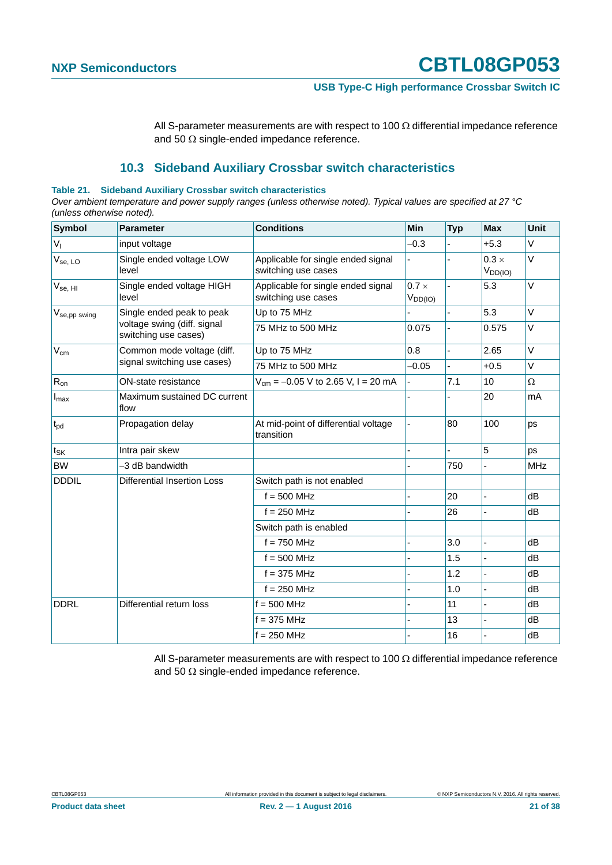**USB Type-C High performance Crossbar Switch IC**

All S-parameter measurements are with respect to 100  $\Omega$  differential impedance reference and 50  $\Omega$  single-ended impedance reference.

### **10.3 Sideband Auxiliary Crossbar switch characteristics**

#### <span id="page-20-0"></span>**Table 21. Sideband Auxiliary Crossbar switch characteristics**

*Over ambient temperature and power supply ranges (unless otherwise noted). Typical values are specified at 27 °C (unless otherwise noted).*

| <b>Symbol</b>            | <b>Parameter</b>                                    | <b>Conditions</b>                                         | Min                          | <b>Typ</b> | <b>Max</b>                   | Unit       |
|--------------------------|-----------------------------------------------------|-----------------------------------------------------------|------------------------------|------------|------------------------------|------------|
| $V_{I}$                  | input voltage                                       |                                                           | $-0.3$                       |            | $+5.3$                       | $\vee$     |
| $V_{se, LO}$             | Single ended voltage LOW<br>level                   | Applicable for single ended signal<br>switching use cases |                              |            | $0.3 \times$<br>$V_{DD(IO)}$ | $\vee$     |
| $V_{se, HI}$             | Single ended voltage HIGH<br>level                  | Applicable for single ended signal<br>switching use cases | $0.7 \times$<br>$V_{DD(IO)}$ |            | 5.3                          | $\vee$     |
| V <sub>se,pp</sub> swing | Single ended peak to peak                           | Up to 75 MHz                                              |                              |            | 5.3                          | $\vee$     |
|                          | voltage swing (diff. signal<br>switching use cases) | 75 MHz to 500 MHz                                         | 0.075                        |            | 0.575                        | V          |
| $V_{\text{cm}}$          | Common mode voltage (diff.                          | Up to 75 MHz                                              | 0.8                          |            | 2.65                         | $\vee$     |
|                          | signal switching use cases)                         | 75 MHz to 500 MHz                                         | $-0.05$                      |            | $+0.5$                       | V          |
| $R_{on}$                 | <b>ON-state resistance</b>                          | $V_{\text{cm}} = -0.05$ V to 2.65 V, I = 20 mA            |                              | 7.1        | 10                           | $\Omega$   |
| $I_{\text{max}}$         | Maximum sustained DC current<br>flow                |                                                           |                              |            | 20                           | mA         |
| $t_{\rm pd}$             | Propagation delay                                   | At mid-point of differential voltage<br>transition        |                              | 80         | 100                          | ps         |
| tsk                      | Intra pair skew                                     |                                                           |                              |            | 5                            | ps         |
| <b>BW</b>                | -3 dB bandwidth                                     |                                                           |                              | 750        |                              | <b>MHz</b> |
| <b>DDDIL</b>             | <b>Differential Insertion Loss</b>                  | Switch path is not enabled                                |                              |            |                              |            |
|                          |                                                     | $f = 500$ MHz                                             |                              | 20         |                              | dB         |
|                          |                                                     | $f = 250$ MHz                                             |                              | 26         |                              | dB         |
|                          |                                                     | Switch path is enabled                                    |                              |            |                              |            |
|                          |                                                     | $f = 750$ MHz                                             |                              | 3.0        |                              | dB         |
|                          |                                                     | $f = 500$ MHz                                             |                              | 1.5        |                              | dB         |
|                          |                                                     | $f = 375$ MHz                                             |                              | 1.2        |                              | dB         |
|                          |                                                     | $f = 250$ MHz                                             |                              | 1.0        |                              | dB         |
| <b>DDRL</b>              | Differential return loss                            | $f = 500$ MHz                                             |                              | 11         |                              | dB         |
|                          |                                                     | $f = 375$ MHz                                             |                              | 13         |                              | dB         |
|                          |                                                     | $f = 250$ MHz                                             |                              | 16         |                              | dB         |

All S-parameter measurements are with respect to 100  $\Omega$  differential impedance reference and 50  $\Omega$  single-ended impedance reference.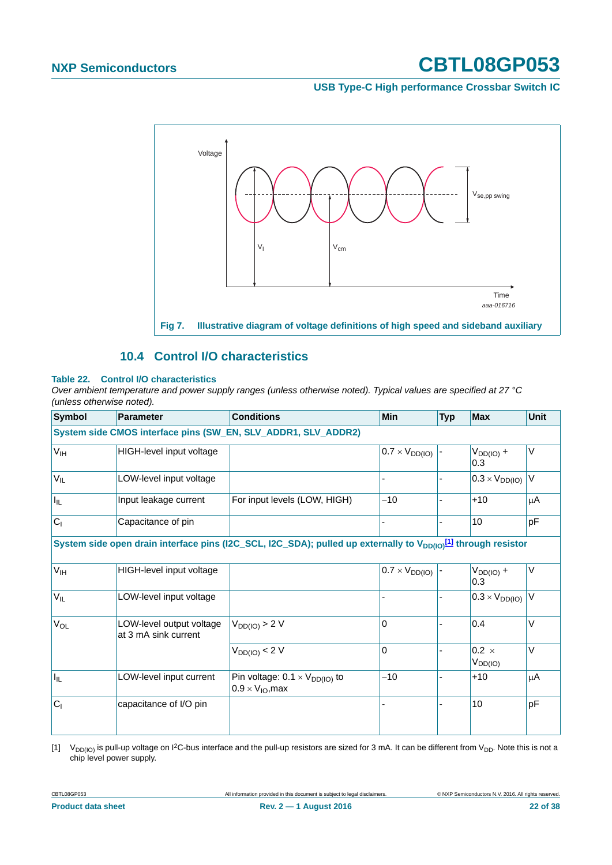#### **USB Type-C High performance Crossbar Switch IC**



#### **10.4 Control I/O characteristics**

#### <span id="page-21-1"></span>**Table 22. Control I/O characteristics**

*Over ambient temperature and power supply ranges (unless otherwise noted). Typical values are specified at 27 °C (unless otherwise noted).*

| <b>Symbol</b>   | <b>Parameter</b>                                 | <b>Conditions</b>                                                                                                                     | Min                     | <b>Typ</b> | <b>Max</b>                   | <b>Unit</b> |
|-----------------|--------------------------------------------------|---------------------------------------------------------------------------------------------------------------------------------------|-------------------------|------------|------------------------------|-------------|
|                 |                                                  | System side CMOS interface pins (SW_EN, SLV_ADDR1, SLV_ADDR2)                                                                         |                         |            |                              |             |
| V <sub>IH</sub> | HIGH-level input voltage                         |                                                                                                                                       | $0.7 \times V_{DD(IO)}$ |            | $V_{DD(IO)} +$<br>0.3        | V           |
| $V_{IL}$        | LOW-level input voltage                          |                                                                                                                                       |                         |            | $0.3 \times V_{DD(10)}$      | $\vee$      |
| I <sub>IL</sub> | Input leakage current                            | For input levels (LOW, HIGH)                                                                                                          | $-10$                   |            | $+10$                        | μA          |
| C <sub>1</sub>  | Capacitance of pin                               |                                                                                                                                       |                         |            | 10                           | pF          |
|                 |                                                  | System side open drain interface pins (I2C_SCL, I2C_SDA); pulled up externally to V <sub>DD(IO)</sub> <sup>[1]</sup> through resistor |                         |            |                              |             |
| $V_{IH}$        | HIGH-level input voltage                         |                                                                                                                                       | $0.7 \times V_{DD(10)}$ |            | $V_{DD(IO)} +$<br>0.3        | V           |
| $V_{IL}$        | LOW-level input voltage                          |                                                                                                                                       |                         |            | $0.3 \times V_{DD(IO)}$      | V           |
| V <sub>OL</sub> | LOW-level output voltage<br>at 3 mA sink current | $V_{DD(IO)} > 2 V$                                                                                                                    | 0                       |            | 0.4                          | $\vee$      |
|                 |                                                  | $V_{DD(IO)} < 2 V$                                                                                                                    | $\overline{0}$          |            | $0.2 \times$<br>$V_{DD(IO)}$ | $\vee$      |
| lır.            | LOW-level input current                          | Pin voltage: $0.1 \times V_{DD(IO)}$ to<br>$0.9 \times V_{\text{IO}}$ , max                                                           | $-10$                   |            | $+10$                        | μA          |
| C <sub>1</sub>  | capacitance of I/O pin                           |                                                                                                                                       |                         |            | 10                           | pF          |

<span id="page-21-0"></span>[1]  $V_{DD(10)}$  is pull-up voltage on 1<sup>2</sup>C-bus interface and the pull-up resistors are sized for 3 mA. It can be different from V<sub>DD</sub>. Note this is not a chip level power supply.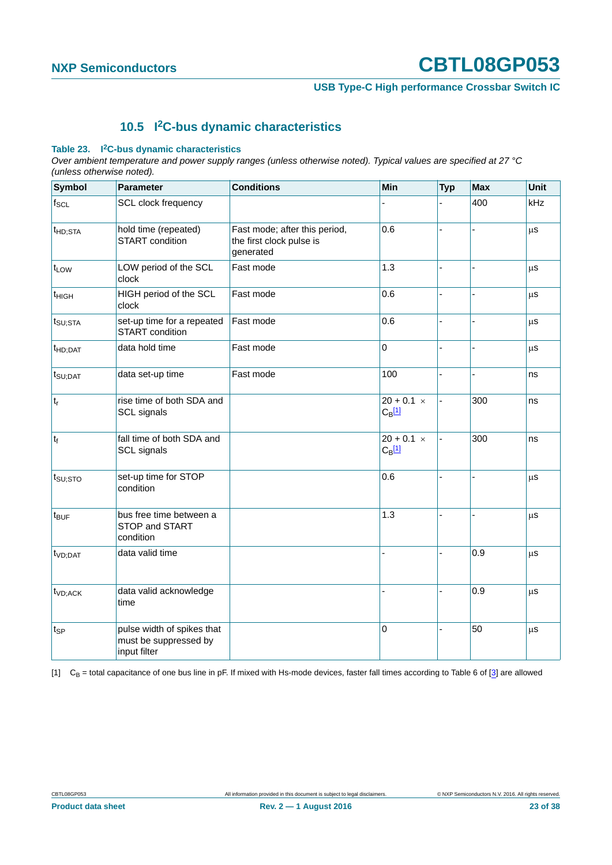**USB Type-C High performance Crossbar Switch IC**

### **10.5 I2C-bus dynamic characteristics**

#### <span id="page-22-1"></span>**Table 23. I2C-bus dynamic characteristics**

*Over ambient temperature and power supply ranges (unless otherwise noted). Typical values are specified at 27 °C (unless otherwise noted).*

| <b>Symbol</b>       | <b>Parameter</b>                                                    | <b>Conditions</b>                                                      | Min                                  | <b>Typ</b>     | <b>Max</b> | Unit    |
|---------------------|---------------------------------------------------------------------|------------------------------------------------------------------------|--------------------------------------|----------------|------------|---------|
| $f_{SCL}$           | <b>SCL clock frequency</b>                                          |                                                                        |                                      |                | 400        | kHz     |
| t <sub>HD;STA</sub> | hold time (repeated)<br><b>START</b> condition                      | Fast mode; after this period,<br>the first clock pulse is<br>generated | 0.6                                  |                |            | $\mu$ s |
| t <sub>LOW</sub>    | LOW period of the SCL<br>clock                                      | Fast mode                                                              | 1.3                                  |                |            | μS      |
| t <sub>HIGH</sub>   | HIGH period of the SCL<br>clock                                     | Fast mode                                                              | 0.6                                  |                |            | $\mu$ s |
| $t_{\text{SU;STA}}$ | set-up time for a repeated<br>START condition                       | Fast mode                                                              | 0.6                                  |                |            | $\mu$ s |
| $t_{HD;DAT}$        | data hold time                                                      | Fast mode                                                              | $\mathbf 0$                          |                |            | $\mu$ s |
| $t_{\text{SU;DAT}}$ | data set-up time                                                    | Fast mode                                                              | 100                                  |                |            | ns      |
| $ t_r $             | rise time of both SDA and<br>SCL signals                            |                                                                        | $20 + 0.1 \times$<br>$C_{\rm B}$ [1] | $\overline{a}$ | 300        | ns      |
| $t_f$               | fall time of both SDA and<br>SCL signals                            |                                                                        | $20 + 0.1 \times$<br>$C_{B}$ [1]     | $\overline{a}$ | 300        | ns      |
| $t_{\text{SU;STO}}$ | set-up time for STOP<br>condition                                   |                                                                        | 0.6                                  |                | L.         | $\mu$ s |
| $t_{\text{BUF}}$    | bus free time between a<br>STOP and START<br>condition              |                                                                        | 1.3                                  |                | ÷,         | $\mu$ s |
| t <sub>VD;DAT</sub> | data valid time                                                     |                                                                        |                                      |                | 0.9        | $\mu$ s |
| t <sub>VD;ACK</sub> | data valid acknowledge<br>time                                      |                                                                        |                                      |                | 0.9        | μs      |
| t <sub>SP</sub>     | pulse width of spikes that<br>must be suppressed by<br>input filter |                                                                        | $\Omega$                             |                | 50         | μs      |

<span id="page-22-0"></span>[1]  $C_B$  = total capacitance of one bus line in pF. If mixed with Hs-mode devices, faster fall times according to Table 6 of [\[3\]](#page-33-0) are allowed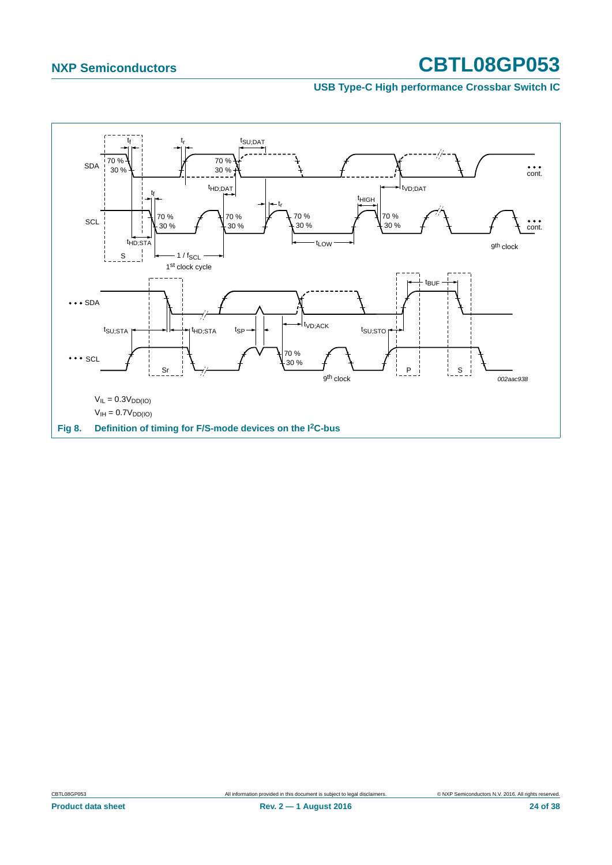#### **USB Type-C High performance Crossbar Switch IC**

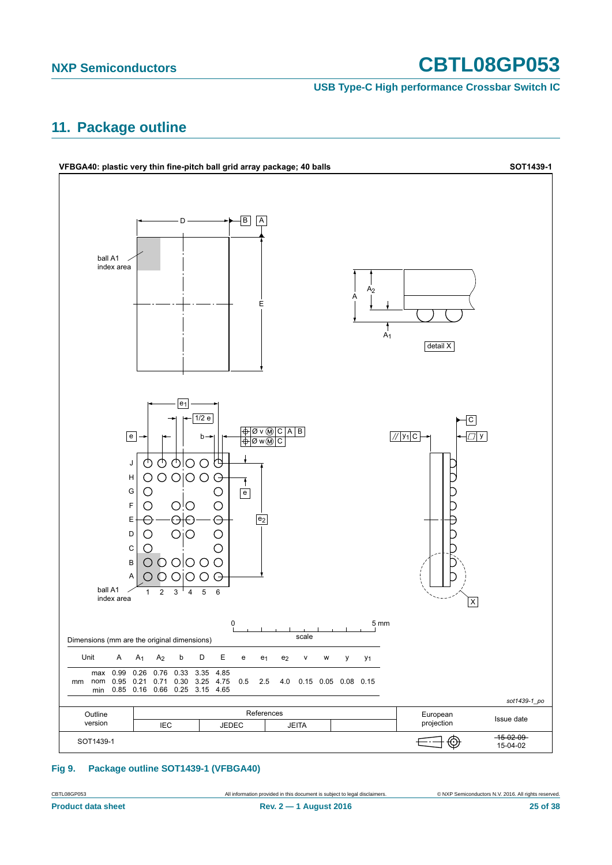**USB Type-C High performance Crossbar Switch IC**

## <span id="page-24-0"></span>**11. Package outline**



#### **Fig 9. Package outline SOT1439-1 (VFBGA40)**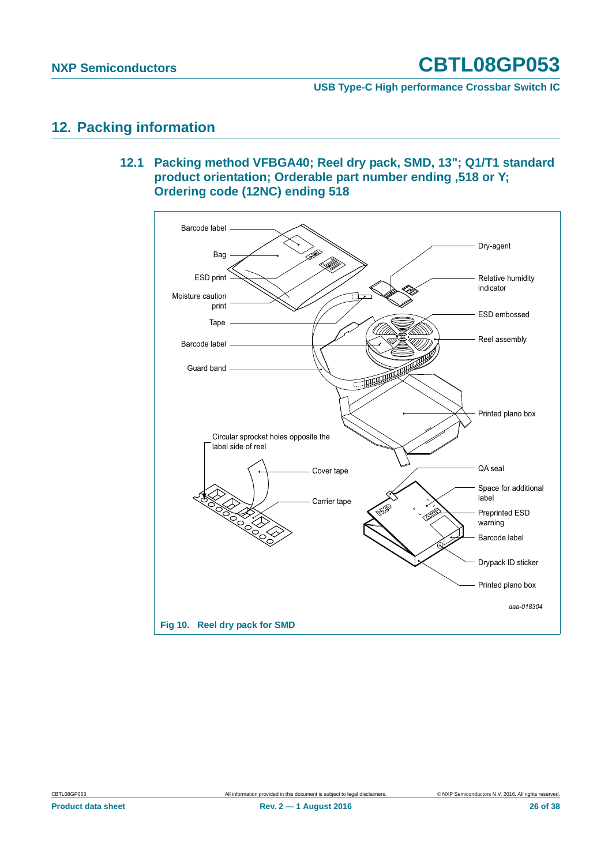**USB Type-C High performance Crossbar Switch IC**

### <span id="page-25-1"></span><span id="page-25-0"></span>**12. Packing information**

**12.1 Packing method VFBGA40; Reel dry pack, SMD, 13"; Q1/T1 standard product orientation; Orderable part number ending ,518 or Y; Ordering code (12NC) ending 518**

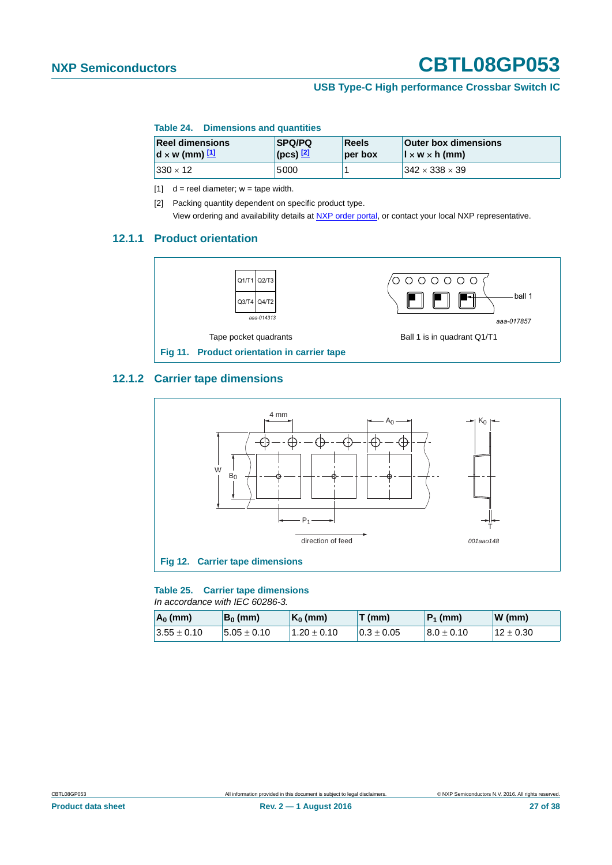#### **USB Type-C High performance Crossbar Switch IC**

#### **Table 24. Dimensions and quantities**

| <b>Reel dimensions</b>                           | <b>SPQ/PQ</b>    | <b>Reels</b> | <b>Outer box dimensions</b>                                  |
|--------------------------------------------------|------------------|--------------|--------------------------------------------------------------|
| $\mathbf{d} \times \mathbf{w}$ (mm) $\mathbf{u}$ | (pcs) <u>[2]</u> | per box      | $\vert \cdot \vert \times \mathsf{w} \times \mathsf{h}$ (mm) |
| $ 330 \times 12 $                                | 5000             |              | $342 \times 338 \times 39$                                   |

<span id="page-26-0"></span> $[1]$  d = reel diameter; w = tape width.

<span id="page-26-1"></span>[2] Packing quantity dependent on specific product type. View ordering and availability details at [NXP order portal](http://www.nxp.com/order-portal/), or contact your local NXP representative.

#### <span id="page-26-2"></span>**12.1.1 Product orientation**



#### <span id="page-26-3"></span>**12.1.2 Carrier tape dimensions**



#### **Table 25. Carrier tape dimensions**

*In accordance with IEC 60286-3.*

| $A_0$ (mm)      | $B_0$ (mm)       | $K_0$ (mm)      | T (mm)          | $ P_1$ (mm)     | W(mm)       |
|-----------------|------------------|-----------------|-----------------|-----------------|-------------|
| $3.55 \pm 0.10$ | $15.05 \pm 0.10$ | $1.20 \pm 0.10$ | $10.3 \pm 0.05$ | $18.0 \pm 0.10$ | $12\pm0.30$ |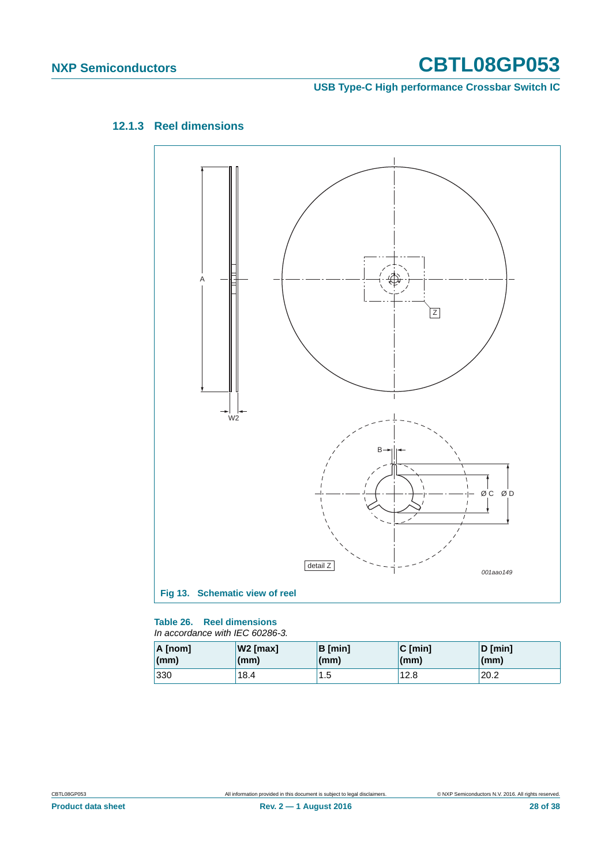**USB Type-C High performance Crossbar Switch IC**

<span id="page-27-0"></span>



#### **Table 26. Reel dimensions**

*In accordance with IEC 60286-3.*

| A [nom] | W2 [max] | <b>B</b> [min] | $C$ [min]    | D [min]      |
|---------|----------|----------------|--------------|--------------|
| (mm)    | (mm)     | (mm)           | $\mathsf{m}$ | $\mathsf{m}$ |
| 330     | 18.4     | 1.5            | 12.8         | 20.2         |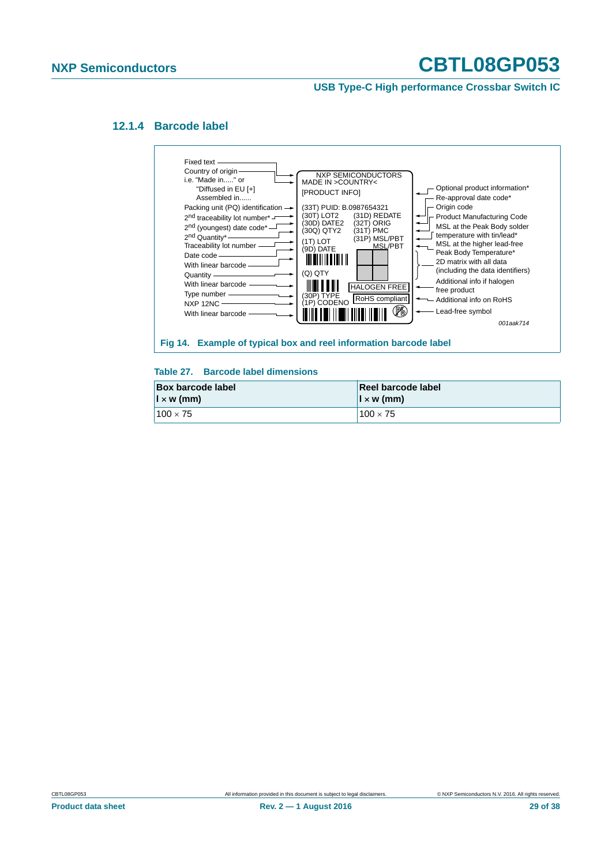**USB Type-C High performance Crossbar Switch IC**

#### <span id="page-28-0"></span>**12.1.4 Barcode label**



#### **Table 27. Barcode label dimensions**

| <b>Box barcode label</b> | Reel barcode label     |
|--------------------------|------------------------|
| $\vert x \rangle$ w (mm) | $\vert x \rangle$ (mm) |
| $100 \times 75$          | $100 \times 75$        |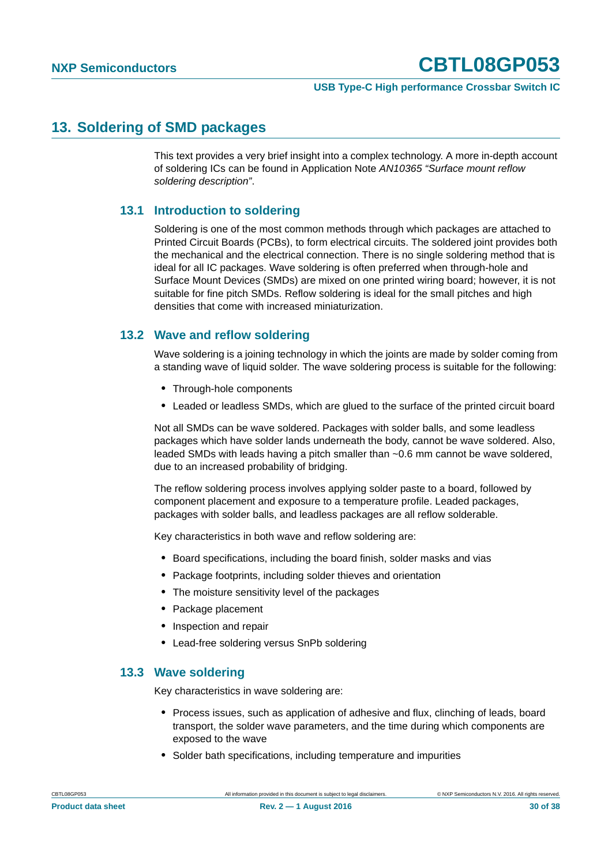#### **USB Type-C High performance Crossbar Switch IC**

### <span id="page-29-0"></span>**13. Soldering of SMD packages**

This text provides a very brief insight into a complex technology. A more in-depth account of soldering ICs can be found in Application Note *AN10365 "Surface mount reflow soldering description"*.

#### <span id="page-29-1"></span>**13.1 Introduction to soldering**

Soldering is one of the most common methods through which packages are attached to Printed Circuit Boards (PCBs), to form electrical circuits. The soldered joint provides both the mechanical and the electrical connection. There is no single soldering method that is ideal for all IC packages. Wave soldering is often preferred when through-hole and Surface Mount Devices (SMDs) are mixed on one printed wiring board; however, it is not suitable for fine pitch SMDs. Reflow soldering is ideal for the small pitches and high densities that come with increased miniaturization.

### <span id="page-29-2"></span>**13.2 Wave and reflow soldering**

Wave soldering is a joining technology in which the joints are made by solder coming from a standing wave of liquid solder. The wave soldering process is suitable for the following:

- **•** Through-hole components
- **•** Leaded or leadless SMDs, which are glued to the surface of the printed circuit board

Not all SMDs can be wave soldered. Packages with solder balls, and some leadless packages which have solder lands underneath the body, cannot be wave soldered. Also, leaded SMDs with leads having a pitch smaller than ~0.6 mm cannot be wave soldered, due to an increased probability of bridging.

The reflow soldering process involves applying solder paste to a board, followed by component placement and exposure to a temperature profile. Leaded packages, packages with solder balls, and leadless packages are all reflow solderable.

Key characteristics in both wave and reflow soldering are:

- **•** Board specifications, including the board finish, solder masks and vias
- **•** Package footprints, including solder thieves and orientation
- **•** The moisture sensitivity level of the packages
- **•** Package placement
- **•** Inspection and repair
- **•** Lead-free soldering versus SnPb soldering

#### <span id="page-29-3"></span>**13.3 Wave soldering**

Key characteristics in wave soldering are:

- **•** Process issues, such as application of adhesive and flux, clinching of leads, board transport, the solder wave parameters, and the time during which components are exposed to the wave
- **•** Solder bath specifications, including temperature and impurities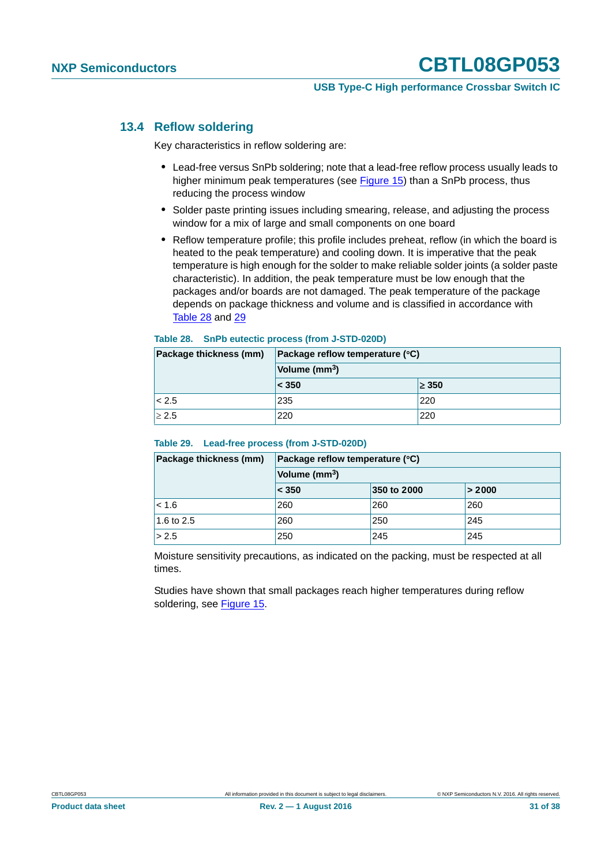#### **USB Type-C High performance Crossbar Switch IC**

#### <span id="page-30-2"></span>**13.4 Reflow soldering**

Key characteristics in reflow soldering are:

- **•** Lead-free versus SnPb soldering; note that a lead-free reflow process usually leads to higher minimum peak temperatures (see [Figure 15\)](#page-31-0) than a SnPb process, thus reducing the process window
- **•** Solder paste printing issues including smearing, release, and adjusting the process window for a mix of large and small components on one board
- **•** Reflow temperature profile; this profile includes preheat, reflow (in which the board is heated to the peak temperature) and cooling down. It is imperative that the peak temperature is high enough for the solder to make reliable solder joints (a solder paste characteristic). In addition, the peak temperature must be low enough that the packages and/or boards are not damaged. The peak temperature of the package depends on package thickness and volume and is classified in accordance with [Table 28](#page-30-0) and [29](#page-30-1)

#### <span id="page-30-0"></span>**Table 28. SnPb eutectic process (from J-STD-020D)**

| Package thickness (mm) | Package reflow temperature (°C)<br>Volume (mm <sup>3</sup> ) |            |  |
|------------------------|--------------------------------------------------------------|------------|--|
|                        |                                                              |            |  |
|                        | < 350                                                        | $\geq$ 350 |  |
| < 2.5                  | 235                                                          | 220        |  |
| $\geq 2.5$             | 220                                                          | 220        |  |

#### <span id="page-30-1"></span>**Table 29. Lead-free process (from J-STD-020D)**

| Package thickness (mm) | Package reflow temperature (°C) |             |        |  |
|------------------------|---------------------------------|-------------|--------|--|
|                        | Volume (mm <sup>3</sup> )       |             |        |  |
|                        | < 350                           | 350 to 2000 | > 2000 |  |
| < 1.6                  | 260                             | 260         | 260    |  |
| 1.6 to 2.5             | 260                             | 250         | 245    |  |
| > 2.5                  | 250                             | 245         | 245    |  |

Moisture sensitivity precautions, as indicated on the packing, must be respected at all times.

Studies have shown that small packages reach higher temperatures during reflow soldering, see [Figure 15](#page-31-0).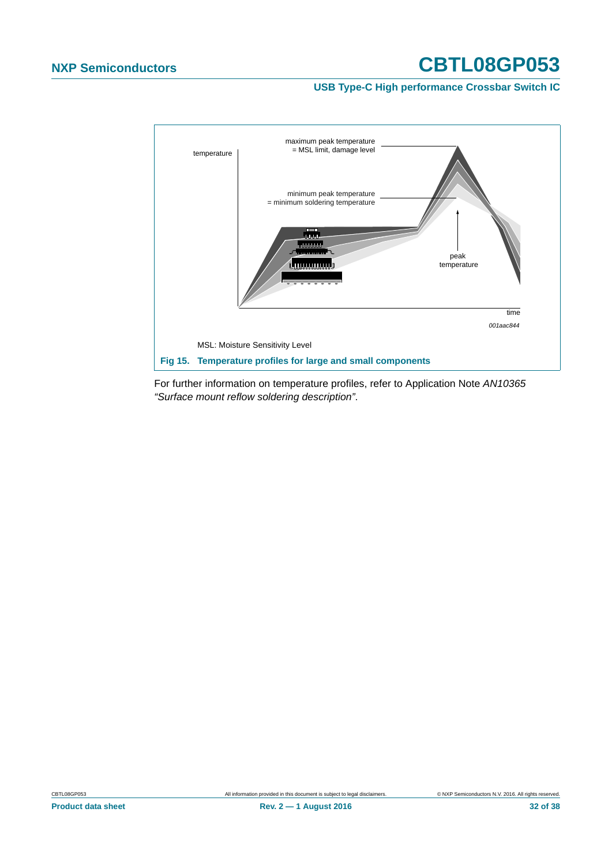**USB Type-C High performance Crossbar Switch IC**



<span id="page-31-0"></span>For further information on temperature profiles, refer to Application Note *AN10365 "Surface mount reflow soldering description"*.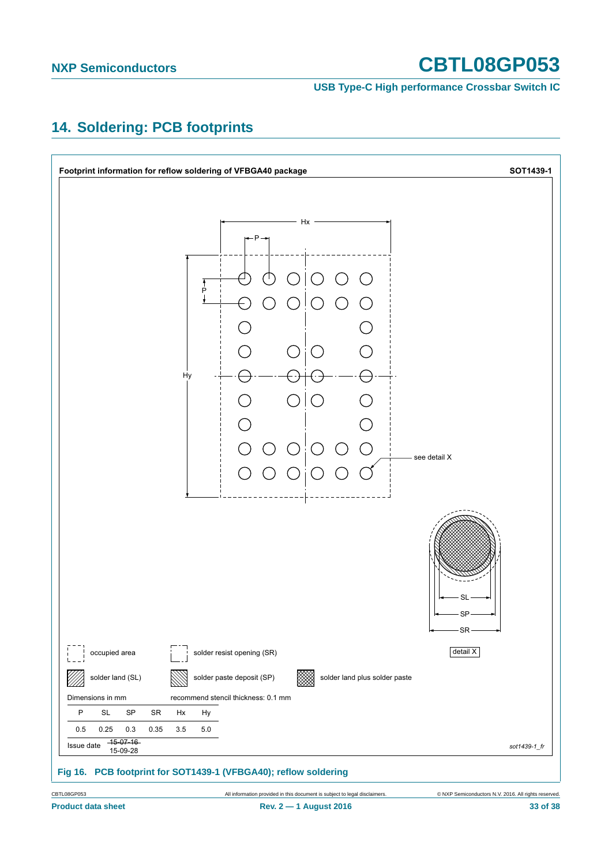**USB Type-C High performance Crossbar Switch IC**

## <span id="page-32-0"></span>**14. Soldering: PCB footprints**

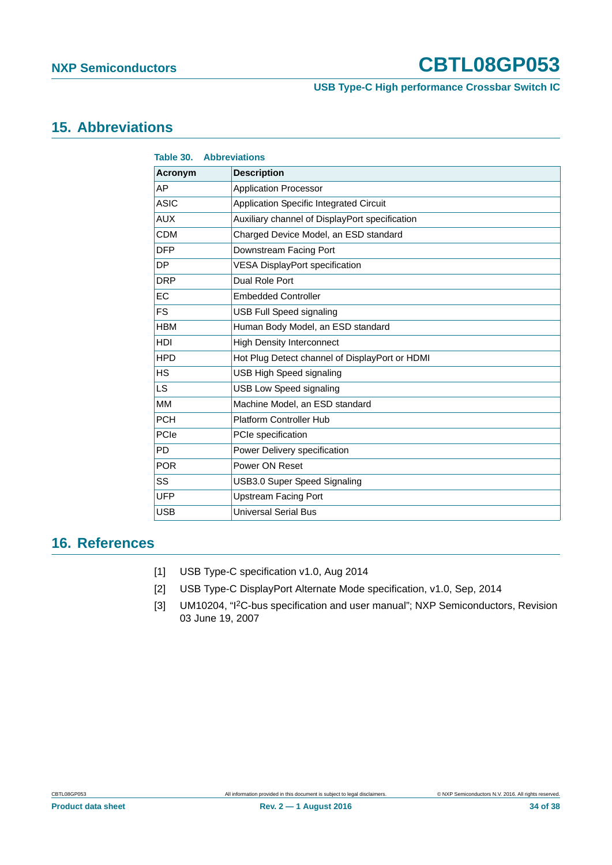**USB Type-C High performance Crossbar Switch IC**

### <span id="page-33-1"></span>**15. Abbreviations**

| <b>Table 30. Abbreviations</b>               |                                                |
|----------------------------------------------|------------------------------------------------|
| <b>Acronym</b>                               | <b>Description</b>                             |
| AP                                           | <b>Application Processor</b>                   |
| <b>ASIC</b>                                  | Application Specific Integrated Circuit        |
| <b>AUX</b>                                   | Auxiliary channel of DisplayPort specification |
| <b>CDM</b>                                   | Charged Device Model, an ESD standard          |
| <b>DFP</b>                                   | Downstream Facing Port                         |
| <b>DP</b>                                    | <b>VESA DisplayPort specification</b>          |
| <b>DRP</b>                                   | Dual Role Port                                 |
| EC                                           | <b>Embedded Controller</b>                     |
| <b>FS</b>                                    | <b>USB Full Speed signaling</b>                |
| <b>HBM</b>                                   | Human Body Model, an ESD standard              |
| <b>HDI</b>                                   | <b>High Density Interconnect</b>               |
| <b>HPD</b>                                   | Hot Plug Detect channel of DisplayPort or HDMI |
| <b>HS</b><br><b>USB High Speed signaling</b> |                                                |
| LS.                                          | <b>USB Low Speed signaling</b>                 |
| MM                                           | Machine Model, an ESD standard                 |
| <b>PCH</b>                                   | <b>Platform Controller Hub</b>                 |
| PCIe                                         | PCIe specification                             |
| PD                                           | Power Delivery specification                   |
| <b>POR</b>                                   | Power ON Reset                                 |
| SS                                           | <b>USB3.0 Super Speed Signaling</b>            |
| <b>UFP</b>                                   | <b>Upstream Facing Port</b>                    |
| <b>USB</b>                                   | <b>Universal Serial Bus</b>                    |

### <span id="page-33-2"></span>**16. References**

- [1] USB Type-C specification v1.0, Aug 2014
- [2] USB Type-C DisplayPort Alternate Mode specification, v1.0, Sep, 2014
- <span id="page-33-0"></span>[3] UM10204, "I2C-bus specification and user manual"; NXP Semiconductors, Revision 03 June 19, 2007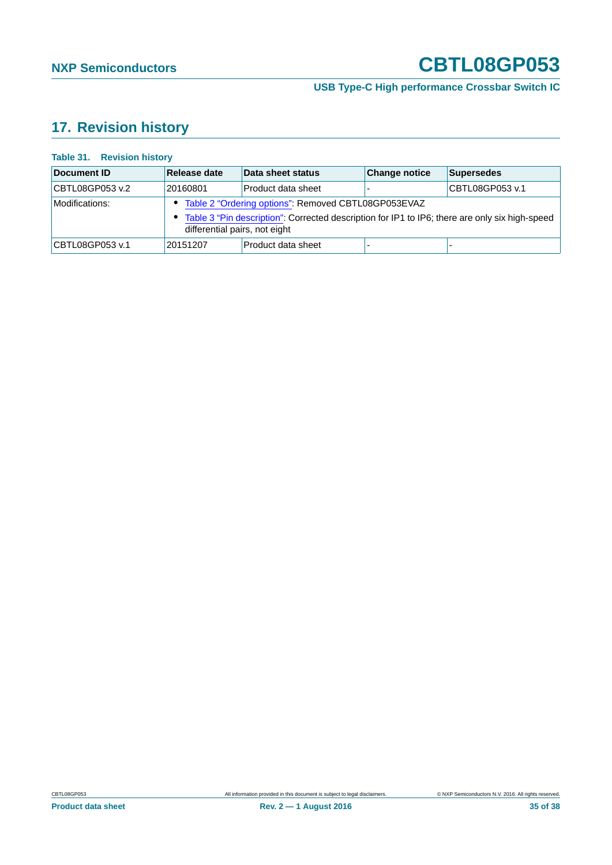**USB Type-C High performance Crossbar Switch IC**

# <span id="page-34-0"></span>**17. Revision history**

#### **Table 31. Revision history**

| Document ID     | Release date                                                                                                                                                                               | Data sheet status  | <b>Change notice</b> | <b>Supersedes</b> |
|-----------------|--------------------------------------------------------------------------------------------------------------------------------------------------------------------------------------------|--------------------|----------------------|-------------------|
| CBTL08GP053 v.2 | 20160801                                                                                                                                                                                   | Product data sheet |                      | CBTL08GP053 v.1   |
| Modifications:  | • Table 2 "Ordering options": Removed CBTL08GP053EVAZ<br>• Table 3 "Pin description": Corrected description for IP1 to IP6; there are only six high-speed<br>differential pairs, not eight |                    |                      |                   |
| CBTL08GP053 v.1 | 20151207                                                                                                                                                                                   | Product data sheet |                      |                   |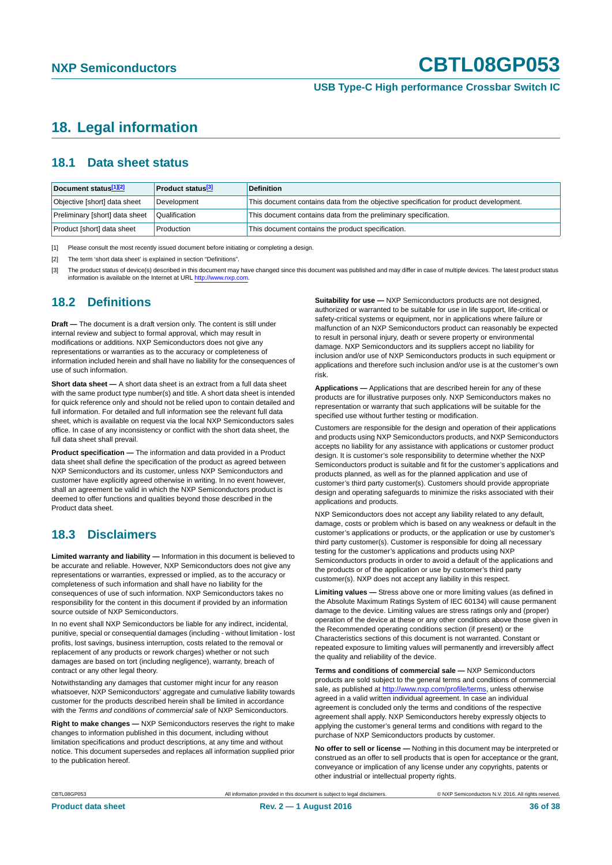**USB Type-C High performance Crossbar Switch IC**

### <span id="page-35-3"></span>**18. Legal information**

#### <span id="page-35-4"></span>**18.1 Data sheet status**

| Document status[1][2]          | <b>Product status</b> <sup>[3]</sup> | <b>Definition</b>                                                                     |
|--------------------------------|--------------------------------------|---------------------------------------------------------------------------------------|
| Objective [short] data sheet   | Development                          | This document contains data from the objective specification for product development. |
| Preliminary [short] data sheet | Qualification                        | This document contains data from the preliminary specification.                       |
| Product [short] data sheet     | Production                           | This document contains the product specification.                                     |

<span id="page-35-0"></span>[1] Please consult the most recently issued document before initiating or completing a design.

<span id="page-35-1"></span>[2] The term 'short data sheet' is explained in section "Definitions".

<span id="page-35-2"></span>[3] The product status of device(s) described in this document may have changed since this document was published and may differ in case of multiple devices. The latest product status<br>information is available on the Intern

#### <span id="page-35-5"></span>**18.2 Definitions**

**Draft —** The document is a draft version only. The content is still under internal review and subject to formal approval, which may result in modifications or additions. NXP Semiconductors does not give any representations or warranties as to the accuracy or completeness of information included herein and shall have no liability for the consequences of use of such information.

**Short data sheet —** A short data sheet is an extract from a full data sheet with the same product type number(s) and title. A short data sheet is intended for quick reference only and should not be relied upon to contain detailed and full information. For detailed and full information see the relevant full data sheet, which is available on request via the local NXP Semiconductors sales office. In case of any inconsistency or conflict with the short data sheet, the full data sheet shall prevail.

**Product specification —** The information and data provided in a Product data sheet shall define the specification of the product as agreed between NXP Semiconductors and its customer, unless NXP Semiconductors and customer have explicitly agreed otherwise in writing. In no event however, shall an agreement be valid in which the NXP Semiconductors product is deemed to offer functions and qualities beyond those described in the Product data sheet.

### <span id="page-35-6"></span>**18.3 Disclaimers**

**Limited warranty and liability —** Information in this document is believed to be accurate and reliable. However, NXP Semiconductors does not give any representations or warranties, expressed or implied, as to the accuracy or completeness of such information and shall have no liability for the consequences of use of such information. NXP Semiconductors takes no responsibility for the content in this document if provided by an information source outside of NXP Semiconductors.

In no event shall NXP Semiconductors be liable for any indirect, incidental, punitive, special or consequential damages (including - without limitation - lost profits, lost savings, business interruption, costs related to the removal or replacement of any products or rework charges) whether or not such damages are based on tort (including negligence), warranty, breach of contract or any other legal theory.

Notwithstanding any damages that customer might incur for any reason whatsoever, NXP Semiconductors' aggregate and cumulative liability towards customer for the products described herein shall be limited in accordance with the *Terms and conditions of commercial sale* of NXP Semiconductors.

**Right to make changes —** NXP Semiconductors reserves the right to make changes to information published in this document, including without limitation specifications and product descriptions, at any time and without notice. This document supersedes and replaces all information supplied prior to the publication hereof.

**Suitability for use —** NXP Semiconductors products are not designed, authorized or warranted to be suitable for use in life support, life-critical or safety-critical systems or equipment, nor in applications where failure or malfunction of an NXP Semiconductors product can reasonably be expected to result in personal injury, death or severe property or environmental damage. NXP Semiconductors and its suppliers accept no liability for inclusion and/or use of NXP Semiconductors products in such equipment or applications and therefore such inclusion and/or use is at the customer's own risk.

**Applications —** Applications that are described herein for any of these products are for illustrative purposes only. NXP Semiconductors makes no representation or warranty that such applications will be suitable for the specified use without further testing or modification.

Customers are responsible for the design and operation of their applications and products using NXP Semiconductors products, and NXP Semiconductors accepts no liability for any assistance with applications or customer product design. It is customer's sole responsibility to determine whether the NXP Semiconductors product is suitable and fit for the customer's applications and products planned, as well as for the planned application and use of customer's third party customer(s). Customers should provide appropriate design and operating safeguards to minimize the risks associated with their applications and products.

NXP Semiconductors does not accept any liability related to any default, damage, costs or problem which is based on any weakness or default in the customer's applications or products, or the application or use by customer's third party customer(s). Customer is responsible for doing all necessary testing for the customer's applications and products using NXP Semiconductors products in order to avoid a default of the applications and the products or of the application or use by customer's third party customer(s). NXP does not accept any liability in this respect.

**Limiting values —** Stress above one or more limiting values (as defined in the Absolute Maximum Ratings System of IEC 60134) will cause permanent damage to the device. Limiting values are stress ratings only and (proper) operation of the device at these or any other conditions above those given in the Recommended operating conditions section (if present) or the Characteristics sections of this document is not warranted. Constant or repeated exposure to limiting values will permanently and irreversibly affect the quality and reliability of the device.

**Terms and conditions of commercial sale —** NXP Semiconductors products are sold subject to the general terms and conditions of commercial sale, as published at<http://www.nxp.com/profile/terms>, unless otherwise agreed in a valid written individual agreement. In case an individual agreement is concluded only the terms and conditions of the respective agreement shall apply. NXP Semiconductors hereby expressly objects to applying the customer's general terms and conditions with regard to the purchase of NXP Semiconductors products by customer.

**No offer to sell or license —** Nothing in this document may be interpreted or construed as an offer to sell products that is open for acceptance or the grant, conveyance or implication of any license under any copyrights, patents or other industrial or intellectual property rights.

CBTL08GP053 All information provided in this document is subject to legal disclaimers. © NXP Semiconductors N.V. 2016. All rights reserved.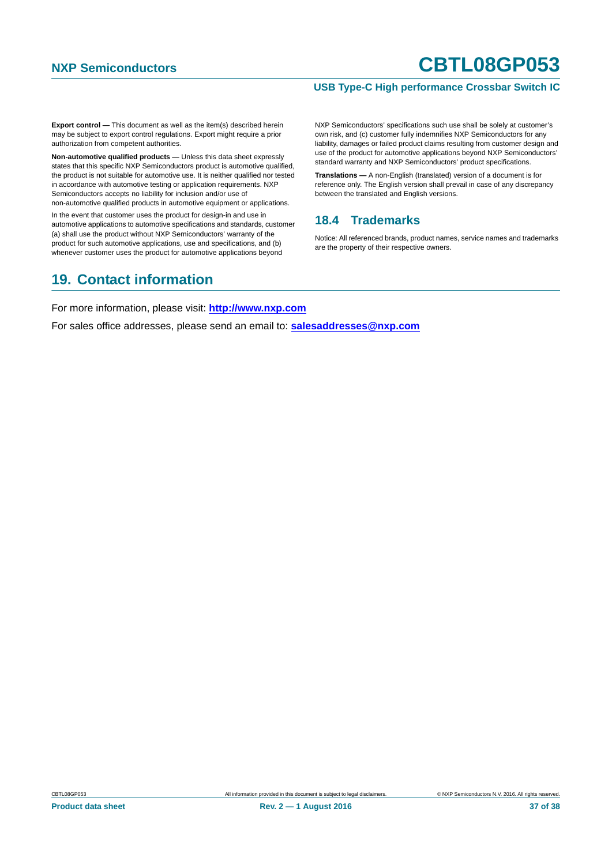#### **USB Type-C High performance Crossbar Switch IC**

**Export control —** This document as well as the item(s) described herein may be subject to export control regulations. Export might require a prior authorization from competent authorities.

**Non-automotive qualified products —** Unless this data sheet expressly states that this specific NXP Semiconductors product is automotive qualified, the product is not suitable for automotive use. It is neither qualified nor tested in accordance with automotive testing or application requirements. NXP Semiconductors accepts no liability for inclusion and/or use of non-automotive qualified products in automotive equipment or applications.

In the event that customer uses the product for design-in and use in automotive applications to automotive specifications and standards, customer (a) shall use the product without NXP Semiconductors' warranty of the product for such automotive applications, use and specifications, and (b) whenever customer uses the product for automotive applications beyond

NXP Semiconductors' specifications such use shall be solely at customer's own risk, and (c) customer fully indemnifies NXP Semiconductors for any liability, damages or failed product claims resulting from customer design and use of the product for automotive applications beyond NXP Semiconductors' standard warranty and NXP Semiconductors' product specifications.

**Translations —** A non-English (translated) version of a document is for reference only. The English version shall prevail in case of any discrepancy between the translated and English versions.

#### <span id="page-36-0"></span>**18.4 Trademarks**

Notice: All referenced brands, product names, service names and trademarks are the property of their respective owners.

### <span id="page-36-1"></span>**19. Contact information**

For more information, please visit: **http://www.nxp.com**

For sales office addresses, please send an email to: **salesaddresses@nxp.com**